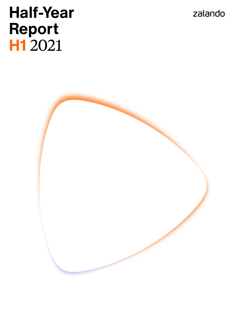zalando

# **Half-Year Report H1** 2021

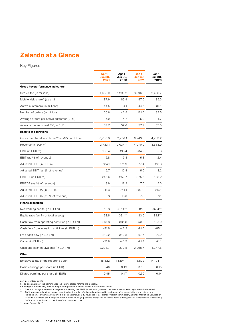# **Zalando at a Glance**

Key Figures

|                                                | Apr 1 -<br><b>Jun 30,</b><br>2021 | Apr 1-<br>Jun 30,<br>2020 | Jan 1 –<br>Jun 30,<br>2021 | Jan 1 -<br>Jun 30,<br>2020 |
|------------------------------------------------|-----------------------------------|---------------------------|----------------------------|----------------------------|
| Group key performance indicators               |                                   |                           |                            |                            |
| Site visits* (in millions)                     | 1,688.9                           | 1,296.2                   | 3,396.9                    | 2,433.7                    |
| Mobile visit share* (as a %)                   | 87.9                              | 85.9                      | 87.6                       | 85.3                       |
| Active customers (in millions)                 | 44.5                              | 34.1                      | 44.5                       | 34.1                       |
| Number of orders (in millions)                 | 65.6                              | 46.5                      | 121.6                      | 83.5                       |
| Average orders per active customer (LTM)       | 5.0                               | 4.7                       | 5.0                        | 4.7                        |
| Average basket size (LTM, in EUR)              | 57.7                              | 57.0                      | 57.7                       | 57.0                       |
| <b>Results of operations</b>                   |                                   |                           |                            |                            |
| Gross merchandise volume** (GMV) (in EUR m)    | 3,787.8                           | 2,706.1                   | 6,943.6                    | 4,733.2                    |
| Revenue (in EUR m)                             | 2,733.1                           | 2,034.7                   | 4,970.9                    | 3,558.9                    |
| EBIT (in EUR m)                                | 186.4                             | 198.4                     | 264.9                      | 85.3                       |
| EBIT (as % of revenue)                         | 6.8                               | 9.8                       | 5.3                        | 2.4                        |
| Adjusted EBIT (in EUR m)                       | 184.1                             | 211.9                     | 277.4                      | 113.3                      |
| Adjusted EBIT (as % of revenue)                | 6.7                               | 10.4                      | 5.6                        | 3.2                        |
| EBITDA (in EUR m)                              | 243.6                             | 250.7                     | 375.5                      | 188.2                      |
| EBITDA (as % of revenue)                       | 8.9                               | 12.3                      | 7.6                        | 5.3                        |
| Adjusted EBITDA (in EUR m)                     | 241.3                             | 264.1                     | 387.9                      | 216.1                      |
| Adjusted EBITDA (as % of revenue)              | 8.8                               | 13.0                      | 7.8                        | 6.1                        |
| <b>Financial position</b>                      |                                   |                           |                            |                            |
| Net working capital (in EUR m)                 | 12.8                              | $-87.4***$                | 12.8                       | $-87.4***$                 |
| Equity ratio (as % of total assets)            | 33.5                              | $33.1***$                 | 33.5                       | $33.1***$                  |
| Cash flow from operating activities (in EUR m) | 361.8                             | 385.8                     | 259.0                      | 125.0                      |
| Cash flow from investing activities (in EUR m) | $-51.8$                           | $-43.3$                   | $-91.6$                    | $-85.1$                    |
| Free cash flow (in EUR m)                      | 310.2                             | 342.5                     | 167.6                      | 39.9                       |
| Capex (in EUR m)                               | $-51.6$                           | $-43.3$                   | $-91.4$                    | $-91.1$                    |
| Cash and cash equivalents (in EUR m)           | 2,298.7                           | 1,377.5                   | 2,298.7                    | 1,377.5                    |
| Other                                          |                                   |                           |                            |                            |
| Employees (as of the reporting date)           | 15,822                            | 14,194***                 | 15,822                     | 14,194***                  |
| Basic earnings per share (in EUR)              | 0.46                              | 0.49                      | 0.60                       | 0.15                       |
| Diluted earnings per share (in EUR)            | 0.45                              | 0.47                      | 0.60                       | 0.14                       |

pp = percentage points<br>For an explanation of the performance indicators, please refer to the glossary.<br>Founding differences may arise in the percentages and numbers shown in this interim report.<br>\* Due to a change in consen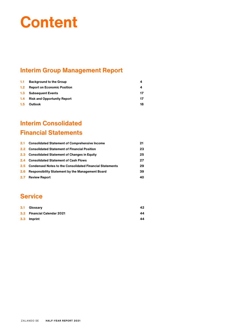# **Content**

# **Interim Group Management Report**

| 1.1 <sub>1</sub> | <b>Background to the Group</b>     | 4  |
|------------------|------------------------------------|----|
| 1.2 <sub>1</sub> | <b>Report on Economic Position</b> | 4  |
| 1.3              | <b>Subsequent Events</b>           | 17 |
| 1.4              | <b>Risk and Opportunity Report</b> | 17 |
| $1.5^{\circ}$    | <b>Outlook</b>                     | 18 |

# **Interim Consolidated Financial Statements**

|                  | 2.1 Consolidated Statement of Comprehensive Income           | 21 |
|------------------|--------------------------------------------------------------|----|
|                  | 2.2 Consolidated Statement of Financial Position             | 23 |
|                  | 2.3 Consolidated Statement of Changes in Equity              | 25 |
|                  | 2.4 Consolidated Statement of Cash Flows                     | 27 |
|                  | 2.5 Condensed Notes to the Consolidated Financial Statements | 29 |
| 2.6 <sup>°</sup> | <b>Responsibility Statement by the Management Board</b>      | 39 |
| $2.7^{\circ}$    | <b>Review Report</b>                                         | 40 |

# **Service**

| 3.1 Glossary                | 42 |
|-----------------------------|----|
| 3.2 Financial Calendar 2021 | 44 |
| 3.3 Imprint                 | 44 |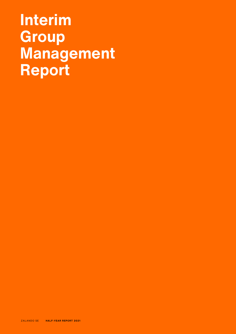# **Interim Group Management Report**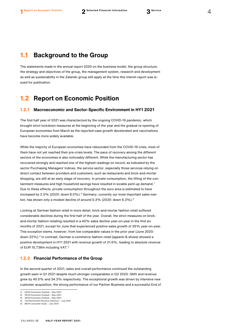# <span id="page-4-0"></span>**1.1 Background to the Group**

The statements made in the annual report 2020 on the business model, the group structure, the strategy and objectives of the group, the management system, research and development as well as sustainability in the Zalando group still apply at the time this interim report was issued for publication.

# <span id="page-4-1"></span>**1.2 Report on Economic Position**

## **1.2.1 Macroeconomic and Sector-Specific Environment in HY1 2021**

The first half year of 2021 was characterized by the ongoing COVID-19 pandemic, which brought strict lockdown measures at the beginning of the year and the gradual re-opening of European economies from March as the reported-case growth decelerated and vaccinations have become more widely available.

While the majority of European economies have rebounded from the COVID-19 crisis, most of them have not yet reached their pre-crisis levels. The pace of recovery among the different sectors of the economies is also noticeably different. While the manufacturing sector has recovered strongly and reached one of the highest readings on record, as indicated by the sector Purchasing Managers' Indices, the service sector, especially those services relying on direct contact between providers and customers, such as restaurants and brick-and-mortar shopping, are still at an early stage of recovery. In private consumption, the lifting of the con-tainment measures and high household savings have resulted in sizable pent-up demand.<sup>[1](#page-4-2)</sup> Due to these effects, private consumption throughout the euro area is estimated to have increased by [2](#page-4-3).5% (2020: down 8.0%).<sup>2</sup> Germany, currently our most important sales mar-ket, has shown only a modest decline of around 0.[3](#page-4-4)% (2020: down 6.3%).<sup>3</sup>

Looking at German fashion retail in more detail, brick-and-mortar fashion retail suffered considerable declines during the first half of the year. Overall, the strict measures on brickand-mortar fashion retailing resulted in a 40% sales decline year-on-year in the first six months of 2021, except for June that experienced positive sales growth of 26% year-on-year. This exception stems, however, from low comparable values in the prior year (June 2020: down 22%). [4](#page-4-5) In contrast, German e-commerce fashion retail (apparel & shoes) showed a positive development in HY1 2021 with revenue growth of 21.6%, leading to absolute revenue of EUR 10,736m including VAT.<sup>[5](#page-4-6)</sup>

### **1.2.2 Financial Performance of the Group**

In the second quarter of 2021, sales and overall performance continued the outstanding growth seen in Q1 2021 despite much stronger comparables in Q2 2020: GMV and revenue grew by 40.0% and 34.3% respectively. The exceptional growth was driven by intensive new customer acquisition, the strong performance of our Partner Business and a successful End of

<span id="page-4-2"></span><sup>1)</sup> OECD Economic Outlook – May 2021

<span id="page-4-3"></span><sup>2)</sup> OECD Economic Outlook – May 2021

<span id="page-4-4"></span><sup>3)</sup> OECD Economic Outlook – May 2021 4) Textilwirtschaft Revenue statistics – July 2021

<span id="page-4-6"></span><span id="page-4-5"></span><sup>5)</sup> BEVH consumer study – July 2021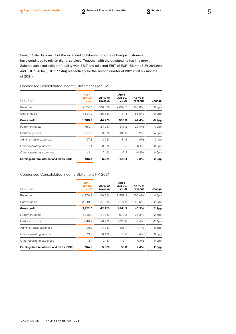Season Sale. As a result of the extended lockdowns throughout Europe customers have continued to rely on digital services. Together with the outstanding top line growth, Zalando achieved solid profitability with EBIT and adjusted EBIT of EUR 186.4m (EUR 264.9m) and EUR 184.1m (EUR 277.4m) respectively for the second quarter of 2021 (first six months of 2021).

## Condensed Consolidated Income Statement Q2 2021

| IN EUR M                                  | Apr 1 -<br><b>Jun 30,</b><br>2021 | As % of<br>revenue | Apr 1 -<br><b>Jun 30,</b><br>2020 | As % of<br>revenue | Change            |
|-------------------------------------------|-----------------------------------|--------------------|-----------------------------------|--------------------|-------------------|
| Revenue                                   | 2,733.1                           | 100.0%             | 2,034.7                           | 100.0%             | 0.0 <sub>pp</sub> |
| Cost of sales                             | $-1,524.2$                        | $-55.8%$           | $-1,131.4$                        | $-55.6%$           | $-0.2$ pp         |
| <b>Gross profit</b>                       | 1,208.9                           | 44.2%              | 903.3                             | 44.4%              | $-0.2pp$          |
| <b>Fulfillment costs</b>                  | $-662.1$                          | $-24.2%$           | $-517.2$                          | $-25.4%$           | 1.2 <sub>pp</sub> |
| Marketing costs                           | $-267.7$                          | $-9.8%$            | $-105.3$                          | $-5.2%$            | $-4.6pp$          |
| Administrative expenses                   | $-107.8$                          | $-3.9%$            | $-81.5$                           | $-4.0%$            | 0.1 <sub>pp</sub> |
| Other operating income                    | 17.4                              | $0.6\%$            | 1.5                               | $0.1\%$            | 0.6 <sub>pp</sub> |
| Other operating expenses                  | $-2.4$                            | $-0.1%$            | $-2.3$                            | $-0.1%$            | 0.0 <sub>pp</sub> |
| Earnings before interest and taxes (EBIT) | 186.4                             | 6.8%               | 198.4                             | $9.8\%$            | $-2.9pp$          |

#### Condensed Consolidated Income Statement HY 2021

| IN EUR M                                  | $Jan 1 -$<br><b>Jun 30,</b><br>2021 | As $%$ of<br>revenue | Jan 1 -<br><b>Jun 30,</b><br>2020 | As % of<br>revenue | Change            |
|-------------------------------------------|-------------------------------------|----------------------|-----------------------------------|--------------------|-------------------|
| Revenue                                   | 4,970.9                             | 100.0%               | 3,558.9                           | 100.0%             | 0.0 <sub>pp</sub> |
| Cost of sales                             | $-2,849.0$                          | $-57.3%$             | $-2,117.6$                        | $-59.5%$           | 2.2 <sub>pp</sub> |
| <b>Gross profit</b>                       | 2,122.0                             | 42.7%                | 1,441.3                           | 40.5%              | 2.2 <sub>pp</sub> |
| <b>Fulfillment costs</b>                  | $-1,232.9$                          | $-24.8%$             | $-973.3$                          | $-27.3%$           | 2.5 <sub>pp</sub> |
| Marketing costs                           | $-440.7$                            | $-8.9%$              | $-228.8$                          | $-6.4%$            | $-2.4pp$          |
| Administrative expenses                   | $-199.9$                            | $-4.0%$              | $-165.7$                          | $-4.7%$            | 0.6 <sub>pp</sub> |
| Other operating income                    | 19.9                                | $0.4\%$              | 15.6                              | $0.4\%$            | 0.0 <sub>pp</sub> |
| Other operating expenses                  | $-3.4$                              | $-0.1%$              | $-3.7$                            | $-0.1%$            | 0.0 <sub>pp</sub> |
| Earnings before interest and taxes (EBIT) | 264.9                               | 5.3%                 | 85.3                              | 2.4%               | 2.9 <sub>pp</sub> |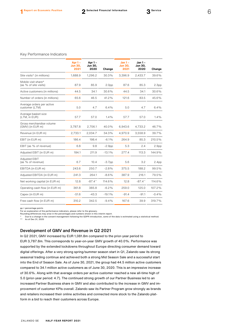|                                              | Apr $1 -$<br><b>Jun 30,</b><br>2021 | Apr 1-<br><b>Jun 30,</b><br>2020 | Change            | $Jan 1 -$<br><b>Jun 30,</b><br>2021 | Jan 1-<br>Jun 30,<br>2020 | Change            |
|----------------------------------------------|-------------------------------------|----------------------------------|-------------------|-------------------------------------|---------------------------|-------------------|
| Site visits* (in millions)                   | 1,688.9                             | 1,296.2                          | 30.3%             | 3,396.9                             | 2,433.7                   | 39.6%             |
| Mobile visit share*<br>(as % of site visits) | 87.9                                | 85.9                             | 2.0 <sub>pp</sub> | 87.6                                | 85.3                      | 2.3 <sub>pp</sub> |
| Active customers (in millions)               | 44.5                                | 34.1                             | 30.6%             | 44.5                                | 34.1                      | 30.6%             |
| Number of orders (in millions)               | 65.6                                | 46.5                             | 41.2%             | 121.6                               | 83.5                      | 45.6%             |
| Average orders per active<br>customer (LTM)  | 5.0                                 | 4.7                              | 6.4%              | 5.0                                 | 4.7                       | 6.4%              |
| Average basket size<br>(LTM, in EUR)         | 57.7                                | 57.0                             | 1.4%              | 57.7                                | 57.0                      | 1.4%              |
| Gross merchandise volume<br>(GMV) (in EUR m) | 3,787.8                             | 2,706.1                          | 40.0%             | 6,943.6                             | 4,733.2                   | 46.7%             |
| Revenue (in EUR m)                           | 2,733.1                             | 2,034.7                          | 34.3%             | 4,970.9                             | 3,558.9                   | 39.7%             |
| EBIT (in EUR m)                              | 186.4                               | 198.4                            | $-6.1%$           | 264.9                               | 85.3                      | 210.5%            |
| EBIT (as % of revenue)                       | 6.8                                 | 9.8                              | $-2.9pp$          | 5.3                                 | 2.4                       | 2.9 <sub>pp</sub> |
| Adjusted EBIT (in EUR m)                     | 184.1                               | 211.9                            | $-13.1%$          | 277.4                               | 113.3                     | 144.9%            |
| Adjusted EBIT<br>(as % of revenue)           | 6.7                                 | 10.4                             | $-3.7pp$          | 5.6                                 | 3.2                       | 2.4 <sub>pp</sub> |
| EBITDA (in EUR m)                            | 243.6                               | 250.7                            | $-2.8%$           | 375.5                               | 188.2                     | 99.5%             |
| Adjusted EBITDA (in EUR m)                   | 241.3                               | 264.1                            | $-8.6%$           | 387.9                               | 216.1                     | 79.5%             |
| Net working capital (in EUR m)               | 12.8                                | $-87.4**$                        | 114.6%            | 12.8                                | $-87.4**$                 | 114.6%            |
| Operating cash flow (in EUR m)               | 361.8                               | 385.8                            | $-6.2%$           | 259.0                               | 125.0                     | 107.2%            |
| Capex (in EUR m)                             | $-51.6$                             | $-43.3$                          | $-19.1%$          | $-91.4$                             | $-91.1$                   | $-0.4%$           |
| Free cash flow (in EUR m)                    | 310.2                               | 342.5                            | $-9.4%$           | 167.6                               | 39.9                      | 319.7%            |

pp = percentage points For an explanation of the performance indicators, please refer to the glossary. Rounding differences may arise in the percentages and numbers shown in this interim report.

Due to a change in the consent management following the GDPR introduction, some of the data is estimated using a statistical method. \*\* As of Dec 31, 2020

#### Development of GMV and Revenue in Q2 2021

In Q2 2021, GMV increased by EUR 1,081.8m compared to the prior-year period to

EUR 3,787.8m. This corresponds to year-on-year GMV growth of 40.0%. Performance was supported by the extended lockdowns throughout Europe directing consumer demand toward digital offerings. After a very strong spring/summer season start in Q1, Zalando saw its strong seasonal trading continue and achieved both a strong Mid Season Sale and a successful start into the End of Season Sale. As of June 30, 2021, the group had 44.5 million active customers compared to 34.1 million active customers as of June 30, 2020. This is an impressive increase of 30.6%. Along with that average orders per active customer reached a new all-time high of 5.0 (prior-year period: 4.7). The continued strong growth of our Partner Business led to an increased Partner Business share in GMV and also contributed to the increase in GMV and improvement of customer KPIs overall. Zalando saw its Partner Program grow strongly as brands and retailers increased their online activities and connected more stock to the Zalando platform in a bid to reach their customers across Europe.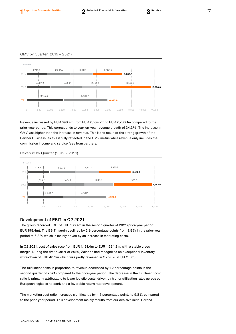

Revenue increased by EUR 698.4m from EUR 2,034.7m to EUR 2,733.1m compared to the prior-year period. This corresponds to year-on-year revenue growth of 34.3%. The increase in GMV was higher than the increase in revenue. This is the result of the strong growth of the Partner Business, as this is fully reflected in the GMV metric while revenue only includes the commission income and service fees from partners.

Revenue by Quarter (2019 – 2021)



## Development of EBIT in Q2 2021

The group recorded EBIT of EUR 186.4m in the second quarter of 2021 (prior-year period: EUR 198.4m). The EBIT margin declined by 2.9 percentage points from 9.8% in the prior-year period to 6.8% which is mainly driven by an increase in marketing costs.

In Q2 2021, cost of sales rose from EUR 1,131.4m to EUR 1,524.2m, with a stable gross margin. During the first quarter of 2020, Zalando had recognized an exceptional inventory write-down of EUR 40.2m which was partly reversed in Q2 2020 (EUR 11.3m).

The fulfillment costs in proportion to revenue decreased by 1.2 percentage points in the second quarter of 2021 compared to the prior-year period. The decrease in the fulfillment cost ratio is primarily attributable to lower logistic costs, driven by higher utilization rates across our European logistics network and a favorable return rate development.

The marketing cost ratio increased significantly by 4.6 percentage points to 9.8% compared to the prior-year period. This development mainly results from our decisive initial Corona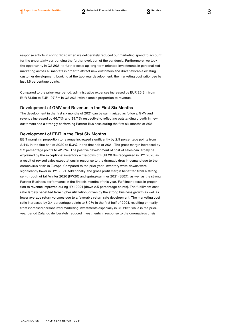response efforts in spring 2020 when we deliberately reduced our marketing spend to account for the uncertainty surrounding the further evolution of the pandemic. Furthermore, we took the opportunity in Q2 2021 to further scale up long-term oriented investments in personalized marketing across all markets in order to attract new customers and drive favorable existing customer development. Looking at the two-year development, the marketing cost ratio rose by just 1.6 percentage points.

Compared to the prior-year period, administrative expenses increased by EUR 26.3m from EUR 81.5m to EUR 107.8m in Q2 2021 with a stable proportion to revenue.

#### Development of GMV and Revenue in the First Six Months

The development in the first six months of 2021 can be summarized as follows: GMV and revenue increased by 46.7% and 39.7% respectively, reflecting outstanding growth in new customers and a strongly performing Partner Business during the first six months of 2021.

## Development of EBIT in the First Six Months

EBIT margin in proportion to revenue increased significantly by 2.9 percentage points from 2.4% in the first half of 2020 to 5.3% in the first half of 2021. The gross margin increased by 2.2 percentage points to 42.7%. The positive development of cost of sales can largely be explained by the exceptional inventory write-down of EUR 28.9m recognized in HY1 2020 as a result of revised sales expectations in response to the dramatic drop in demand due to the coronavirus crisis in Europe. Compared to the prior year, inventory write-downs were significantly lower in HY1 2021. Additionally, the gross profit margin benefited from a strong sell-through of fall/winter 2020 (FW20) and spring/summer 2021 (SS21), as well as the strong Partner Business performance in the first six months of this year. Fulfillment costs in proportion to revenue improved during HY1 2021 (down 2.5 percentage points). The fulfillment cost ratio largely benefited from higher utilization, driven by the strong business growth as well as lower average return volumes due to a favorable return rate development. The marketing cost ratio increased by 2.4 percentage points to 8.9% in the first half of 2021, resulting primarily from increased personalized marketing investments especially in Q2 2021 while in the prioryear period Zalando deliberately reduced investments in response to the coronavirus crisis.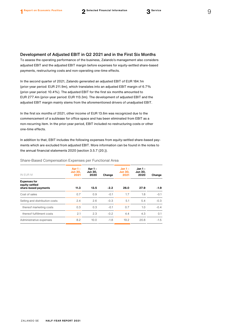Development of Adjusted EBIT in Q2 2021 and in the First Six Months

To assess the operating performance of the business, Zalando's management also considers adjusted EBIT and the adjusted EBIT margin before expenses for equity-settled share-based payments, restructuring costs and non-operating one-time effects.

In the second quarter of 2021, Zalando generated an adjusted EBIT of EUR 184.1m (prior-year period: EUR 211.9m), which translates into an adjusted EBIT margin of 6.7% (prior-year period: 10.4%). The adjusted EBIT for the first six months amounted to EUR 277.4m (prior-year period: EUR 113.3m). The development of adjusted EBIT and the adjusted EBIT margin mainly stems from the aforementioned drivers of unadjusted EBIT.

In the first six months of 2021, other income of EUR 13.6m was recognized due to the commencement of a sublease for office space and has been eliminated from EBIT as a non-recurring item. In the prior-year period, EBIT included no restructuring costs or other one-time effects.

In addition to that, EBIT includes the following expenses from equity-settled share-based payments which are excluded from adjusted EBIT. More information can be found in the notes to the annual financial statements 2020 (section 3.5.7 (20.)).

Share-Based Compensation Expenses per Functional Area

| IN EUR M                                                      | Apr $1 -$<br><b>Jun 30.</b><br>2021 | Apr 1 -<br><b>Jun 30,</b><br>2020 | Change | <b>Jan 1 -</b><br><b>Jun 30,</b><br>2021 | <b>Jan 1-</b><br><b>Jun 30,</b><br>2020 | Change |
|---------------------------------------------------------------|-------------------------------------|-----------------------------------|--------|------------------------------------------|-----------------------------------------|--------|
| <b>Expenses for</b><br>equity-settled<br>share-based payments | 11.3                                | 13.5                              | $-2.2$ | 26.0                                     | 27.9                                    | $-1.9$ |
| Cost of sales                                                 | 0.7                                 | 0.9                               | $-0.1$ | 1.7                                      | 1.8                                     | $-0.1$ |
| Selling and distribution costs                                | 2.4                                 | 2.6                               | $-0.3$ | 5.1                                      | 5.4                                     | $-0.3$ |
| thereof marketing costs                                       | 0.3                                 | 0.3                               | $-0.1$ | 0.7                                      | 1.0                                     | $-0.4$ |
| thereof fulfillment costs                                     | 2.1                                 | 2.3                               | $-0.2$ | 4.4                                      | 4.3                                     | 0.1    |
| Administrative expenses                                       | 8.2                                 | 10.0                              | $-1.8$ | 19.2                                     | 20.8                                    | $-1.5$ |
|                                                               |                                     |                                   |        |                                          |                                         |        |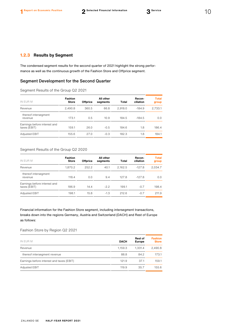The condensed segment results for the second quarter of 2021 highlight the strong performance as well as the continuous growth of the Fashion Store and Offprice segment.

# Segment Development for the Second Quarter

Segment Results of the Group Q2 2021

| IN EUR M                                     | <b>Fashion</b><br><b>Store</b> | <b>Offprice</b> | All other<br>segments | Total   | Recon-<br>ciliation | <b>Total</b><br>group |
|----------------------------------------------|--------------------------------|-----------------|-----------------------|---------|---------------------|-----------------------|
| Revenue                                      | 2,490.8                        | 360.5           | 66.8                  | 2.918.0 | $-184.9$            | 2,733.1               |
| thereof intersegment<br>revenue              | 173.1                          | 0.5             | 10.9                  | 184.5   | $-184.5$            | 0.0                   |
| Earnings before interest and<br>taxes (EBIT) | 159.1                          | 26.0            | $-0.5$                | 184.6   | 1.8                 | 186.4                 |
| <b>Adjusted EBIT</b>                         | 155.6                          | 27.0            | $-0.3$                | 182.3   | 1.8                 | 184.1                 |

# Segment Results of the Group Q2 2020

| IN EUR M                                     | <b>Fashion</b><br><b>Store</b> | <b>Offprice</b> | All other<br>segments | Total   | Recon-<br>ciliation | <b>Total</b><br>group |
|----------------------------------------------|--------------------------------|-----------------|-----------------------|---------|---------------------|-----------------------|
| Revenue                                      | 1,870.2                        | 252.2           | 40.1                  | 2.162.5 | $-127.8$            | 2,034.7               |
| thereof intersegment<br>revenue              | 118.4                          | 0.0             | 9.4                   | 127.8   | $-127.8$            | 0.0                   |
| Earnings before interest and<br>taxes (EBIT) | 186.9                          | 14.4            | $-2.2$                | 199.1   | $-0.7$              | 198.4                 |
| Adjusted EBIT                                | 198.1                          | 15.8            | $-1.3$                | 212.6   | $-0.7$              | 211.9                 |

Financial information for the Fashion Store segment, including intersegment transactions, breaks down into the regions Germany, Austria and Switzerland (DACH) and Rest of Europe as follows:

# Fashion Store by Region Q2 2021

| IN EUR M                                  | <b>DACH</b> | <b>Rest of</b><br><b>Europe</b> | <b>Fashion</b><br><b>Store</b> |
|-------------------------------------------|-------------|---------------------------------|--------------------------------|
| Revenue                                   | 1.159.3     | 1.331.4                         | 2,490.8                        |
| thereof intersegment revenue              | 88.8        | 84.2                            | 173.1                          |
| Earnings before interest and taxes (EBIT) | 121.9       | 37.1                            | 159.1                          |
| Adjusted EBIT                             | 119.9       | 35.7                            | 155.6                          |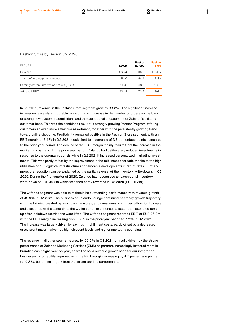#### Fashion Store by Region Q2 2020

| <b>DACH</b> | <b>Rest of</b><br><b>Europe</b> | <b>Fashion</b><br><b>Store</b> |
|-------------|---------------------------------|--------------------------------|
| 863.4       | 1.006.8                         | 1.870.2                        |
| 54.0        | 64.4                            | 118.4                          |
| 118.8       | 68.2                            | 186.9                          |
| 124.4       | 73.7                            | 198.1                          |
|             |                                 |                                |

In Q2 2021, revenue in the Fashion Store segment grew by 33.2%. The significant increase in revenue is mainly attributable to a significant increase in the number of orders on the back of strong new customer acquisitions and the exceptional engagement of Zalando's existing customer base. This was the combined result of a strongly growing Partner Program offering customers an even more attractive assortment, together with the persistently growing trend toward online shopping. Profitability remained positive in the Fashion Store segment, with an EBIT margin of 6.4% in Q2 2021, equivalent to a decrease of 3.6 percentage points compared to the prior-year period. The decline of the EBIT margin mainly results from the increase in the marketing cost ratio. In the prior-year period, Zalando had deliberately reduced investments in response to the coronavirus crisis while in Q2 2021 it increased personalized marketing investments. This was partly offset by the improvement in the fulfillment cost ratio thanks to the high utilization of our logistics infrastructure and favorable developments in return rates. Furthermore, the reduction can be explained by the partial reversal of the inventory write-downs in Q2 2020. During the first quarter of 2020, Zalando had recognized an exceptional inventory write-down of EUR 40.2m which was then partly reversed in Q2 2020 (EUR 11.3m).

The Offprice segment was able to maintain its outstanding performance with revenue growth of 42.9% in Q2 2021. The business of Zalando Lounge continued its steady growth trajectory, with the tailwind created by lockdown measures, and consumers' continued attraction to deals and discounts. At the same time, the Outlet stores experienced a faster than expected ramp up after lockdown restrictions were lifted. The Offprice segment recorded EBIT of EUR 26.0m with the EBIT margin increasing from 5.7% in the prior-year period to 7.2% in Q2 2021. The increase was largely driven by savings in fulfillment costs, partly offset by a decreased gross profit margin driven by high discount levels and higher marketing spending.

The revenue in all other segments grew by 66.5% in Q2 2021, primarily driven by the strong performance of Zalando Marketing Services (ZMS) as partners increasingly invested more in branding campaigns year on year, as well as solid revenue growth seen for our integration businesses. Profitability improved with the EBIT margin increasing by 4.7 percentage points to -0.8%, benefiting largely from the strong top-line performance.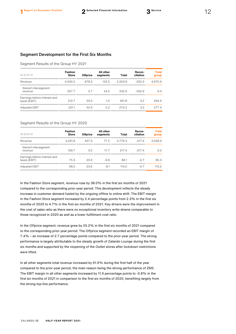# Segment Development for the First Six Months

#### Segment Results of the Group HY 2021

| <b>Fashion</b><br><b>Store</b> | <b>Offprice</b> | All other<br>segments | Total   | Recon-<br>ciliation | <b>Total</b><br>group |
|--------------------------------|-----------------|-----------------------|---------|---------------------|-----------------------|
| 4,500.0                        | 678.3           | 125.5                 | 5.303.8 | $-332.9$            | 4.970.9               |
| 307.7                          | 0.7             | 24.5                  | 332.9   | $-332.9$            | 0.0                   |
| 212.7                          | 50.0            | $-1.0$                | 261.8   | 3.2                 | 264.9                 |
| 221.1                          | 52.9            | 0.2                   | 274.2   | $3.2^{\circ}$       | 277.4                 |
|                                |                 |                       |         |                     |                       |

#### Segment Results of the Group HY 2020

| IN EUR M                                     | <b>Fashion</b><br><b>Store</b> | <b>Offprice</b> | All other<br>segments | <b>Total</b> | Recon-<br>ciliation | <b>Total</b><br>group |
|----------------------------------------------|--------------------------------|-----------------|-----------------------|--------------|---------------------|-----------------------|
| Revenue                                      | 3,261.8                        | 437.0           | 77.5                  | 3.776.3      | $-217.4$            | 3,558.9               |
| thereof intersegment<br>revenue              | 199.7                          | 0.0             | 17.7                  | 217.4        | $-217.4$            | 0.0                   |
| Earnings before interest and<br>taxes (EBIT) | 75.3                           | 20.6            | $-9.8$                | 86.1         | $-0.7$              | 85.3                  |
| <b>Adjusted EBIT</b>                         | 98.5                           | 23.6            | $-8.1$                | 114.0        | $-0.7$              | 113.2                 |

In the Fashion Store segment, revenue rose by 38.0% in the first six months of 2021 compared to the corresponding prior-year period. This development reflects the steady increase in customer demand fueled by the ongoing offline to online shift. The EBIT margin in the Fashion Store segment increased by 2.4 percentage points from 2.3% in the first six months of 2020 to 4.7% in the first six months of 2021. Key drivers were the improvement in the cost of sales ratio as there were no exceptional inventory write-downs comparable to those recognized in 2020 as well as a lower fulfillment cost ratio.

In the Offprice segment, revenue grew by 55.2% in the first six months of 2021 compared to the corresponding prior-year period. The Offprice segment recorded an EBIT margin of 7.4% – an increase of 2.7 percentage points compared to the prior-year period. The strong performance is largely attributable to the steady growth of Zalando Lounge during the first six months and supported by the reopening of the Outlet stores after lockdown restrictions were lifted.

In all other segments total revenue increased by 61.9% during the first half of the year compared to the prior-year period, the main reason being the strong performance of ZMS. The EBIT margin in all other segments increased by 11.9 percentage points to -0.8% in the first six months of 2021 in comparison to the first six months of 2020, benefiting largely from the strong top-line performance.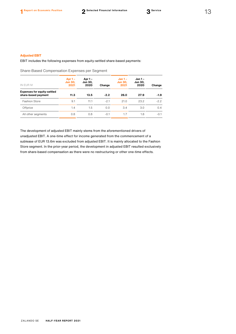EBIT includes the following expenses from equity-settled share-based payments:

Share-Based Compensation Expenses per Segment

| IN EUR M                                                  | Apr $1 -$<br><b>Jun 30,</b><br>2021 | Apr 1 –<br>Jun 30,<br>2020 | Change | $Jan 1 -$<br><b>Jun 30,</b><br>2021 | Jan 1 –<br><b>Jun 30.</b><br>2020 | Change |
|-----------------------------------------------------------|-------------------------------------|----------------------------|--------|-------------------------------------|-----------------------------------|--------|
| <b>Expenses for equity-settled</b><br>share-based payment | 11.3                                | 13.5                       | $-2.2$ | 26.0                                | 27.9                              | $-1.9$ |
| <b>Fashion Store</b>                                      | 9.1                                 | 11.1                       | $-2.1$ | 21.0                                | 23.2                              | $-2.2$ |
| Offprice                                                  | 1.4                                 | 1.5                        | 0.0    | 3.4                                 | 3.0                               | 0.4    |
| All other segments                                        | 0.8                                 | 0.8                        | $-0.1$ | 1.7                                 | 1.8                               | $-0.1$ |

The development of adjusted EBIT mainly stems from the aforementioned drivers of unadjusted EBIT. A one-time effect for income generated from the commencement of a sublease of EUR 13.6m was excluded from adjusted EBIT. It is mainly allocated to the Fashion Store segment. In the prior-year period, the development in adjusted EBIT resulted exclusively from share-based compensation as there were no restructuring or other one-time effects.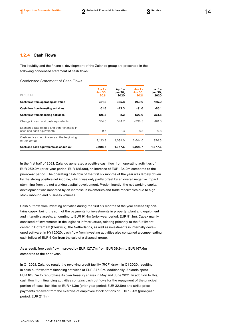The liquidity and the financial development of the Zalando group are presented in the following condensed statement of cash flows:

Condensed Statement of Cash Flows

| IN EUR M                                                                | Apr $1 -$<br><b>Jun 30.</b><br>2021 | Apr 1 –<br>Jun 30.<br>2020 | $Jan 1 -$<br><b>Jun 30.</b><br>2021 | Jan 1 -<br>Jun 30,<br>2020 |
|-------------------------------------------------------------------------|-------------------------------------|----------------------------|-------------------------------------|----------------------------|
| Cash flow from operating activities                                     | 361.8                               | 385.8                      | 259.0                               | 125.0                      |
| Cash flow from investing activities                                     | $-51.8$                             | $-43.3$                    | $-91.6$                             | $-85.1$                    |
| Cash flow from financing activities                                     | $-125.8$                            | 2.2                        | -503.9                              | 361.8                      |
| Change in cash and cash equivalents                                     | 184.3                               | 344.7                      | $-336.5$                            | 401.8                      |
| Exchange-rate related and other changes in<br>cash and cash equivalents | $-9.5$                              | $-1.3$                     | $-8.8$                              | $-0.8$                     |
| Cash and cash equivalents at the beginning<br>of the period             | 2,123.9                             | 1,034.0                    | 2.644.0                             | 976.5                      |
| Cash and cash equivalents as of Jun 30                                  | 2,298.7                             | 1.377.5                    | 2,298.7                             | 1.377.5                    |

In the first half of 2021, Zalando generated a positive cash flow from operating activities of EUR 259.0m (prior-year period: EUR 125.0m), an increase of EUR 134.0m compared to the prior-year period. The operating cash flow of the first six months of the year was largely driven by the strong positive net income, which was only partly offset by an overall negative impact stemming from the net working capital development. Predominantly, the net working capital development was impacted by an increase in inventories and trade receivables due to high stock inbound and business volumes.

Cash outflow from investing activities during the first six months of the year essentially contains capex, being the sum of the payments for investments in property, plant and equipment and intangible assets, amounting to EUR 91.4m (prior-year period: EUR 91.1m). Capex mainly consisted of investments in the logistics infrastructure, relating primarily to the fulfillment center in Rotterdam (Bleiswijk), the Netherlands, as well as investments in internally developed software. In HY1 2020, cash flow from investing activities also contained a compensating cash inflow of EUR 6.0m from the sale of a disposal group.

As a result, free cash flow improved by EUR 127.7m from EUR 39.9m to EUR 167.6m compared to the prior year.

In Q1 2021, Zalando repaid the revolving credit facility (RCF) drawn in Q1 2020, resulting in cash outflows from financing activities of EUR 375.0m. Additionally, Zalando spent EUR 105.7m to repurchase its own treasury shares in May and June 2021. In addition to this, cash flow from financing activities contains cash outflows for the repayment of the principal portion of lease liabilities of EUR 41.3m (prior-year period: EUR 32.8m) and strike price payments received from the exercise of employee stock options of EUR 19.4m (prior-year period: EUR 21.1m).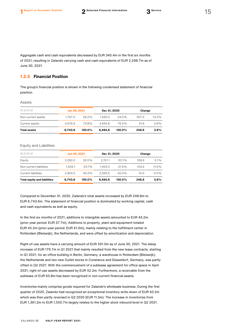Aggregate cash and cash equivalents decreased by EUR 345.4m in the first six months of 2021, resulting in Zalando carrying cash and cash equivalents of EUR 2,298.7m as of June 30, 2021.

# **1.2.5 Financial Position**

The group's financial position is shown in the following condensed statement of financial position.

#### Assets

| IN EUR M            | Jun 30, 2021 |          | Dec 31, 2020 |           | Change |         |
|---------------------|--------------|----------|--------------|-----------|--------|---------|
| Non-current assets  | 1.767.0      | $26.2\%$ | 1.560.0      | 24.0%     | 207.0  | 13.3%   |
| Current assets      | 4.976.6      | 73.8%    | 4.934.8      | 76.0%     | 41.8   | $0.8\%$ |
| <b>Total assets</b> | 6.743.6      | 100.0%   | 6.494.8      | $100.0\%$ | 248.8  | 3.8%    |

#### Equity and Liabilities

| IN EUR M                            | Jun 30, 2021 |        | Dec 31, 2020 |           | Change  |         |
|-------------------------------------|--------------|--------|--------------|-----------|---------|---------|
| Equity                              | 2,260.0      | 33.5%  | 2.151.1      | 33.1%     | 108.9   | 5.1%    |
| Non-current liabilities             | 1.559.1      | 23.1%  | 1.404.2      | 21.6%     | 154.9   | 11.0%   |
| Current liabilities                 | 2.924.5      | 43.4%  | 2.939.5      | 45.3%     | $-15.0$ | $-0.5%$ |
| <b>Total equity and liabilities</b> | 6,743.6      | 100.0% | 6.494.8      | $100.0\%$ | 248.8   | 3.8%    |

Compared to December 31, 2020, Zalando's total assets increased by EUR 248.8m to EUR 6,743.6m. The statement of financial position is dominated by working capital, cash and cash equivalents as well as equity.

In the first six months of 2021, additions to intangible assets amounted to EUR 43.2m (prior-year period: EUR 37.7m). Additions to property, plant and equipment totaled EUR 45.2m (prior-year period: EUR 41.0m), mainly relating to the fulfillment center in Rotterdam (Bleiswijk), the Netherlands, and were offset by amortization and depreciation.

Right-of-use assets have a carrying amount of EUR 591.0m as of June 30, 2021. The steep increase of EUR 179.7m in Q1 2021 that mainly resulted from the new lease contracts, starting in Q1 2021, for an office building in Berlin, Germany, a warehouse in Rotterdam (Bleiswijk), the Netherlands and two new Outlet stores in Constance and Düsseldorf, Germany, was partly offset in Q2 2021. With the commencement of a sublease agreement for office space in April 2021, right-of-use assets decreased by EUR 52.2m. Furthermore, a receivable from the sublease of EUR 65.8m has been recognized in non-current financial assets.

Inventories mainly comprise goods required for Zalando's wholesale business. During the first quarter of 2020, Zalando had recognized an exceptional inventory write-down of EUR 40.2m which was then partly reversed in Q2 2020 (EUR 11.3m). The increase in inventories from EUR 1,361.2m to EUR 1,550.7m largely relates to the higher stock inbound level in Q2 2021.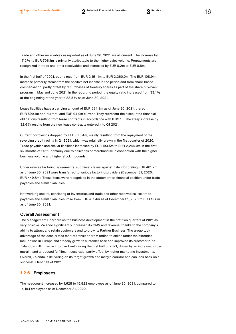Trade and other receivables as reported as of June 30, 2021 are all current. The increase by 17.2% to EUR 706.1m is primarily attributable to the higher sales volume. Prepayments are

In the first half of 2021, equity rose from EUR 2,151.1m to EUR 2,260.0m. The EUR 108.9m increase primarily stems from the positive net income in the period and from share-based compensation, partly offset by repurchases of treasury shares as part of the share buy-back program in May and June 2021. In the reporting period, the equity ratio increased from 33.1% at the beginning of the year to 33.5% as of June 30, 2021.

recognized in trade and other receivables and increased by EUR 0.2m to EUR 0.8m.

Lease liabilities have a carrying amount of EUR 684.9m as of June 30, 2021, thereof EUR 590.1m non-current, and EUR 94.9m current. They represent the discounted financial obligations resulting from lease contracts in accordance with IFRS 16. The steep increase by 32.6% results from the new lease contracts entered into Q1 2021.

Current borrowings dropped by EUR 376.4m, mainly resulting from the repayment of the revolving credit facility in Q1 2021, which was originally drawn in the first quarter of 2020. Trade payables and similar liabilities increased by EUR 193.5m to EUR 2,244.0m in the first six months of 2021, primarily due to deliveries of merchandise in connection with the higher business volume and higher stock inbounds.

Under reverse factoring agreements, suppliers' claims against Zalando totaling EUR 481.2m as of June 30, 2021 were transferred to various factoring providers (December 31, 2020: EUR 449.8m). These items were recognized in the statement of financial position under trade payables and similar liabilities.

Net working capital, consisting of inventories and trade and other receivables less trade payables and similar liabilities, rose from EUR -87.4m as of December 31, 2020 to EUR 12.8m as of June 30, 2021.

#### Overall Assessment

The Management Board views the business development in the first two quarters of 2021 as very positive. Zalando significantly increased its GMV and revenue, thanks to the company's ability to attract and retain customers and to grow its Partner Business. The group took advantage of the accelerated market transition from offline to online under the extended lock-downs in Europe and steadily grew its customer base and improved its customer KPIs. Zalando's EBIT margin improved well during the first half of 2021, driven by an increased gross margin, and a reduced fulfillment cost ratio, partly offset by higher marketing investments. Overall, Zalando is delivering on its target growth and margin corridor and can look back on a successful first half of 2021.

## **1.2.6 Employees**

The headcount increased by 1,628 to 15,822 employees as of June 30, 2021, compared to 14,194 employees as of December 31, 2020.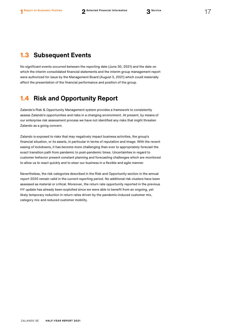# <span id="page-17-0"></span>**1.3 Subsequent Events**

No significant events occurred between the reporting date (June 30, 2021) and the date on which the interim consolidated financial statements and the interim group management report were authorized for issue by the Management Board (August 3, 2021) which could materially affect the presentation of the financial performance and position of the group.

# <span id="page-17-1"></span>**1.4 Risk and Opportunity Report**

Zalando's Risk & Opportunity Management system provides a framework to consistently assess Zalando's opportunities and risks in a changing environment. At present, by means of our enterprise risk assessment process we have not identified any risks that might threaten Zalando as a going concern.

Zalando is exposed to risks that may negatively impact business activities, the group's financial situation, or its assets, in particular in terms of reputation and image. With the recent easing of lockdowns, it has become more challenging than ever to appropriately forecast the exact transition path from pandemic to post-pandemic times. Uncertainties in regard to customer behavior present constant planning and forecasting challenges which are monitored to allow us to react quickly and to steer our business in a flexible and agile manner.

Nevertheless, the risk categories described in the Risk and Opportunity section in the annual report 2020 remain valid in the current reporting period. No additional risk clusters have been assessed as material or critical. Moreover, the return rate opportunity reported in the previous HY update has already been exploited since we were able to benefit from an ongoing, yet likely temporary reduction in return rates driven by the pandemic-induced customer mix, category mix and reduced customer mobility.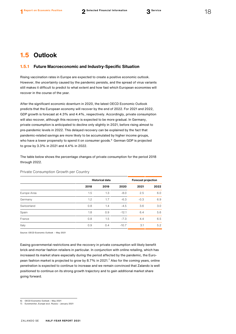# <span id="page-18-0"></span>**1.5 Outlook**

## **1.5.1 Future Macroeconomic and Industry-Specific Situation**

Rising vaccination rates in Europe are expected to create a positive economic outlook. However, the uncertainty caused by the pandemic persists, and the spread of virus variants still makes it difficult to predict to what extent and how fast which European economies will recover in the course of the year.

After the significant economic downturn in 2020, the latest OECD Economic Outlook predicts that the European economy will recover by the end of 2022. For 2021 and 2022, GDP growth is forecast at 4.3% and 4.4%, respectively. Accordingly, private consumption will also recover, although this recovery is expected to be more gradual. In Germany, private consumption is anticipated to decline only slightly in 2021, before rising almost to pre-pandemic levels in 2022. This delayed recovery can be explained by the fact that pandemic-related savings are more likely to be accumulated by higher income groups, who have a lower propensity to spend it on consumer goods. [6](#page-18-1) German GDP is projected to grow by 3.3% in 2021 and 4.4% in 2022.

The table below shows the percentage changes of private consumption for the period 2018 through 2022.

|             | <b>Historical data</b> |      |         | <b>Forecast projection</b> |      |
|-------------|------------------------|------|---------|----------------------------|------|
|             | 2018                   | 2019 | 2020    | 2021                       | 2022 |
| Europe Area | 1.5                    | 1.3  | $-8.0$  | 2.5                        | 6.0  |
| Germany     | 1.2                    | 1.7  | $-6.3$  | $-0.3$                     | 6.9  |
| Switzerland | 0.8                    | 1.4  | $-4.5$  | 3.6                        | 3.0  |
| Spain       | 1.8                    | 0.9  | $-12.1$ | 6.4                        | 5.6  |
| France      | 0.8                    | 1.5  | $-7.3$  | 4.4                        | 6.5  |
| Italy       | 0.9                    | 0.4  | $-10.7$ | 3.1                        | 5.2  |

Private Consumption Growth per Country

Source[: OECD Economic Outlook](https://read.oecd-ilibrary.org/economics/oecd-economic-outlook/volume-2020/issue-1_0d1d1e2e-en#page1) – May 2021

Easing governmental restrictions and the recovery in private consumption will likely benefit brick-and-mortar fashion retailers in particular. In conjunction with online retailing, which has increased its market share especially during the period affected by the pandemic, the Euro-pean fashion market is projected to grow by 8.[7](#page-18-2)% in 2021.<sup>7</sup> Also for the coming years, online penetration is expected to continue to increase and we remain convinced that Zalando is well positioned to continue on its strong growth trajectory and to gain additional market share going forward.

<span id="page-18-1"></span>6) OECD Economic Outlook – May 2021

<span id="page-18-2"></span><sup>7)</sup> Euromonitor, Europe excl. Russia – January 2021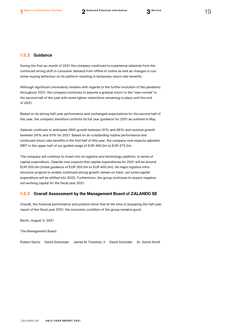During the first six month of 2021 the company continued to experience tailwinds from the continued strong shift in consumer demand from offline to online as well as changes in customer buying behaviour on its platform resulting in temporary return rate benefits.

Although significant uncertainty remains with regards to the further evolution of the pandemic throughout 2021, the company continues to assume a gradual return to the "new normal" in the second half of the year with some lighter restrictions remaining in place until the end of 2021.

Based on its strong half-year performance and unchanged expectations for the second half of the year, the company therefore confirms its full year guidance for 2021 as outlined in May.

Zalando continues to anticipate GMV growth between 31% and 36% and revenue growth between 26% and 31% for 2021. Based on an outstanding topline performance and continued return rate benefits in the first half of this year, the company now expects adjusted EBIT in the upper half of our guided range of EUR 400.0m to EUR 475.0m.

The company will continue to invest into its logistics and technology platform. In terms of capital expenditure, Zalando now expects that capital expenditures for 2021 will be around EUR 350.0m (initial guidance of EUR 350.0m to EUR 400.0m). All major logistics infrastructure projects to enable continued strong growth remain on track, yet some capital expenditure will be shifted into 2022. Furthermore, the group continues to expect negative net working capital for the fiscal year 2021.

## **1.5.3 Overall Assessment by the Management Board of ZALANDO SE**

Overall, the financial performance and position show that at the time of preparing the half-year report of the fiscal year 2021, the economic condition of the group remains good.

Berlin, August 3, 2021

The Management Board

Robert Gentz David Schneider James M. Freeman, II David Schröder Dr. Astrid Arndt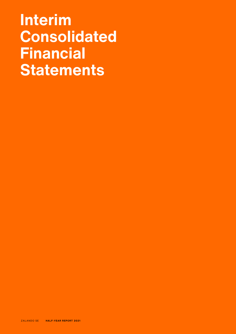# **Interim Consolidated Financial Statements**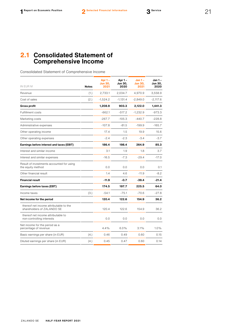# <span id="page-21-0"></span>**2.1 Consolidated Statement of Comprehensive Income**

Consolidated Statement of Comprehensive Income

| IN EUR M                                                             | <b>Notes</b> | Apr $1 -$<br>Jun 30,<br>2021 | Apr 1-<br><b>Jun 30,</b><br>2020 | $Jan 1 -$<br><b>Jun 30.</b><br>2021 | Jan 1 -<br><b>Jun 30.</b><br>2020 |
|----------------------------------------------------------------------|--------------|------------------------------|----------------------------------|-------------------------------------|-----------------------------------|
| Revenue                                                              | (1.)         | 2,733.1                      | 2,034.7                          | 4,970.9                             | 3,558.9                           |
| Cost of sales                                                        | (2.)         | $-1,524.2$                   | $-1,131.4$                       | $-2,849.0$                          | $-2,117.6$                        |
| <b>Gross profit</b>                                                  |              | 1,208.9                      | 903.3                            | 2,122.0                             | 1,441.3                           |
| <b>Fulfillment costs</b>                                             |              | $-662.1$                     | $-517.2$                         | $-1,232.9$                          | -973.3                            |
| Marketing costs                                                      |              | $-267.7$                     | $-105.3$                         | $-440.7$                            | $-228.8$                          |
| Administrative expenses                                              |              | $-107.8$                     | $-81.5$                          | $-199.9$                            | $-165.7$                          |
| Other operating income                                               |              | 17.4                         | 1.5                              | 19.9                                | 15.6                              |
| Other operating expenses                                             |              | $-2.4$                       | $-2.3$                           | $-3.4$                              | $-3.7$                            |
| Earnings before interest and taxes (EBIT)                            |              | 186.4                        | 198.4                            | 264.9                               | 85.3                              |
| Interest and similar income                                          |              | 3.1                          | 1.9                              | 1.8                                 | 3.7                               |
| Interest and similar expenses                                        |              | $-16.5$                      | $-7.3$                           | $-29.4$                             | $-17.0$                           |
| Result of investments accounted for using<br>the equity method       |              | 0.0                          | 0.0                              | 0.0                                 | 0.1                               |
| Other financial result                                               |              | 1.4                          | 4.6                              | $-11.9$                             | $-8.2$                            |
| <b>Financial result</b>                                              |              | $-11.9$                      | $-0.7$                           | $-39.4$                             | $-21.4$                           |
| Earnings before taxes (EBT)                                          |              | 174.5                        | 197.7                            | 225.5                               | 64.0                              |
| Income taxes                                                         | (3.)         | $-54.1$                      | $-75.1$                          | $-70.6$                             | $-27.8$                           |
| Net income for the period                                            |              | 120.4                        | 122.6                            | 154.9                               | 36.2                              |
| thereof net income attributable to the<br>shareholders of ZALANDO SE |              | 120.4                        | 122.6                            | 154.9                               | 36.2                              |
| thereof net income attributable to<br>non-controlling interests      |              | 0.0                          | 0.0                              | 0.0                                 | 0.0                               |
| Net income for the period as a<br>percentage of revenue              |              | 4.4%                         | $6.0\%$                          | 3.1%                                | $1.0\%$                           |
| Basic earnings per share (in EUR)                                    | (4.)         | 0.46                         | 0.49                             | 0.60                                | 0.15                              |
| Diluted earnings per share (in EUR)                                  | (4.)         | 0.45                         | 0.47                             | 0.60                                | 0.14                              |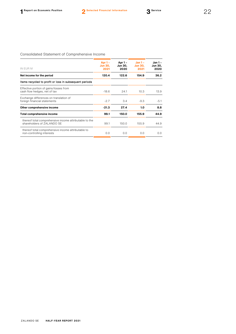# Consolidated Statement of Comprehensive Income

| IN EUR M                                                                              | Apr $1 -$<br><b>Jun 30,</b><br>2021 | Apr $1 -$<br><b>Jun 30,</b><br>2020 | $Jan 1 -$<br><b>Jun 30,</b><br>2021 | Jan 1 -<br><b>Jun 30.</b><br>2020 |
|---------------------------------------------------------------------------------------|-------------------------------------|-------------------------------------|-------------------------------------|-----------------------------------|
| Net income for the period                                                             | 120.4                               | 122.6                               | 154.9                               | 36.2                              |
| Items recycled to profit or loss in subsequent periods                                |                                     |                                     |                                     |                                   |
| Effective portion of gains/losses from<br>cash flow hedges, net of tax                | $-18.6$                             | 24.1                                | 10.3                                | 13.9                              |
| Exchange differences on translation of<br>foreign financial statements                | $-2.7$                              | 3.4                                 | $-9.3$                              | $-5.1$                            |
| Other comprehensive income                                                            | $-21.3$                             | 27.4                                | 1.0                                 | 8.8                               |
| <b>Total comprehensive income</b>                                                     | 99.1                                | 150.0                               | 155.9                               | 44.9                              |
| thereof total comprehensive income attributable to the<br>shareholders of ZAI ANDO SF | 99.1                                | 150.0                               | 155.9                               | 44.9                              |
| thereof total comprehensive income attributable to<br>non-controlling interests       | 0.0                                 | 0.0                                 | 0.0                                 | 0.0                               |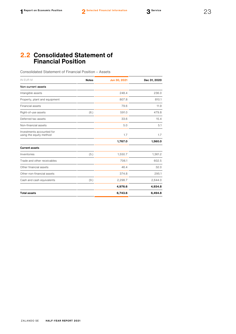# <span id="page-23-0"></span>**2.2 Consolidated Statement of Financial Position**

Consolidated Statement of Financial Position – Assets

| IN EUR M                                             | <b>Notes</b> | Jun 30, 2021 | Dec 31, 2020 |
|------------------------------------------------------|--------------|--------------|--------------|
| Non-current assets                                   |              |              |              |
| Intangible assets                                    |              | 248.4        | 236.0        |
| Property, plant and equipment                        |              | 807.8        | 810.1        |
| Financial assets                                     |              | 79.6         | 11.9         |
| Right-of-use assets                                  | (6.)         | 591.0        | 479.8        |
| Deferred tax assets                                  |              | 33.6         | 15.4         |
| Non-financial assets                                 |              | 5.0          | 5.1          |
| Investments accounted for<br>using the equity method |              | 1.7          | 1.7          |
|                                                      |              | 1,767.0      | 1,560.0      |
| <b>Current assets</b>                                |              |              |              |
| Inventories                                          | (5.)         | 1,550.7      | 1,361.2      |
| Trade and other receivables                          |              | 706.1        | 602.5        |
| Other financial assets                               |              | 46.4         | 32.0         |
| Other non-financial assets                           |              | 374.8        | 295.1        |
| Cash and cash equivalents                            | (9.)         | 2,298.7      | 2,644.0      |
|                                                      |              | 4,976.6      | 4,934.8      |
| <b>Total assets</b>                                  |              | 6,743.6      | 6,494.8      |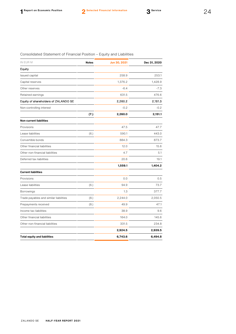| IN EUR M                               | <b>Notes</b> | Jun 30, 2021 | Dec 31, 2020 |
|----------------------------------------|--------------|--------------|--------------|
| Equity                                 |              |              |              |
| Issued capital                         |              | 258.9        | 253.1        |
| Capital reserves                       |              | 1,376.2      | 1,428.9      |
| Other reserves                         |              | $-6.4$       | $-7.3$       |
| Retained earnings                      |              | 631.5        | 476.6        |
| Equity of shareholders of ZALANDO SE   |              | 2,260.2      | 2,151.3      |
| Non-controlling interest               |              | $-0.2$       | $-0.2$       |
|                                        | (7.)         | 2,260.0      | 2,151.1      |
| <b>Non-current liabilities</b>         |              |              |              |
| Provisions                             |              | 47.5         | 47.7         |
| Lease liabilities                      | (6.)         | 590.1        | 443.0        |
| Convertible bonds                      |              | 884.3        | 873.7        |
| Other financial liabilities            |              | 12.0         | 15.6         |
| Other non-financial liabilities        |              | 4.7          | 5.1          |
| Deferred tax liabilities               |              | 20.6         | 19.1         |
|                                        |              | 1,559.1      | 1,404.2      |
| <b>Current liabilities</b>             |              |              |              |
| Provisions                             |              | 0.0          | 0.5          |
| Lease liabilities                      | (6.)         | 94.9         | 73.7         |
| Borrowings                             |              | 1.3          | 377.7        |
| Trade payables and similar liabilities | (8.)         | 2,244.0      | 2,050.5      |
| Prepayments received                   | (8.)         | 49.9         | 47.1         |
| Income tax liabilities                 |              | 38.9         | 9.6          |
| Other financial liabilities            |              | 164.0        | 145.6        |
| Other non-financial liabilities        |              | 331.5        | 234.8        |
|                                        |              | 2,924.5      | 2,939.5      |
| <b>Total equity and liabilities</b>    |              | 6,743.6      | 6,494.8      |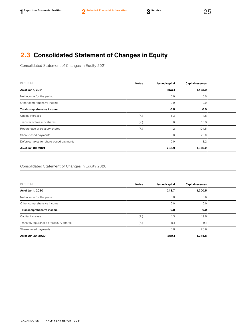# <span id="page-25-0"></span>**2.3 Consolidated Statement of Changes in Equity**

Consolidated Statement of Changes in Equity 2021

| IN EUR M                                | <b>Notes</b> | <b>Issued capital</b> | <b>Capital reserves</b> |  |
|-----------------------------------------|--------------|-----------------------|-------------------------|--|
| As of Jan 1, 2021                       |              | 253.1                 | 1,428.9                 |  |
| Net income for the period               |              | 0.0                   | 0.0                     |  |
| Other comprehensive income              |              | 0.0                   | 0.0                     |  |
| Total comprehensive income              |              | 0.0                   | 0.0                     |  |
| Capital increase                        | (7.)         | 6.3                   | 1.8                     |  |
| Transfer of treasury shares             | (7.)         | 0.6                   | 10.8                    |  |
| Repurchase of treasury shares           | (7.)         | $-1.2$                | $-104.5$                |  |
| Share-based payments                    |              | 0.0                   | 26.0                    |  |
| Deferred taxes for share-based payments |              | 0.0                   | 13.2                    |  |
| As of Jun 30, 2021                      |              | 258.9                 | 1,376.2                 |  |

# Consolidated Statement of Changes in Equity 2020

| IN EUR M                               | <b>Notes</b> | <b>Issued capital</b> | <b>Capital reserves</b> |  |
|----------------------------------------|--------------|-----------------------|-------------------------|--|
| As of Jan 1, 2020                      |              | 248.7                 | 1,200.5                 |  |
| Net income for the period              |              | 0.0                   | 0.0                     |  |
| Other comprehensive income             |              | 0.0                   | 0.0                     |  |
| Total comprehensive income             |              | 0.0                   | 0.0                     |  |
| Capital increase                       | (7.)         | 1.3                   | 19.8                    |  |
| Transfer/repurchase of treasury shares | (7.)         | 0.1                   | $-0.1$                  |  |
| Share-based payments                   |              | 0.0                   | 25.6                    |  |
| As of Jun 30, 2020                     |              | 250.1                 | 1,245.8                 |  |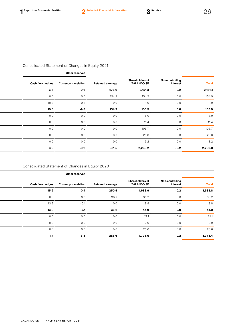|              |                             |                                      |                          | <b>Office Leadings</b>      |                  |  |  |
|--------------|-----------------------------|--------------------------------------|--------------------------|-----------------------------|------------------|--|--|
| <b>Total</b> | Non-controlling<br>interest | Shareholders of<br><b>ZALANDO SE</b> | <b>Retained earnings</b> | <b>Currency translation</b> | Cash flow hedges |  |  |
| 2,151.1      | $-0.2$                      | 2,151.3                              | 476.6                    | $-0.6$                      | $-6.7$           |  |  |
| 154.9        | 0.0                         | 154.9                                | 154.9                    | 0.0                         | 0.0              |  |  |
| 1.0          | 0.0                         | 1.0                                  | 0.0                      | $-9.3$                      | 10.3             |  |  |
| 155.9        | 0.0                         | 155.9                                | 154.9                    | $-9.3$                      | 10.3             |  |  |
| 8.0          | 0.0                         | 8.0                                  | 0.0                      | 0.0                         | 0.0              |  |  |
| 11.4         | 0.0                         | 11.4                                 | 0.0                      | 0.0                         | 0.0              |  |  |
| $-105.7$     | 0.0                         | $-105.7$                             | 0.0                      | 0.0                         | 0.0              |  |  |
| 26.0         | 0.0                         | 26.0                                 | 0.0                      | 0.0                         | 0.0              |  |  |
| 13.2         | 0.0                         | 13.2                                 | 0.0                      | 0.0                         | 0.0              |  |  |
| 2,260.0      | $-0.2$                      | 2,260.2                              | 631.5                    | $-9.9$                      | 3.6              |  |  |
|              |                             |                                      |                          |                             |                  |  |  |

# Consolidated Statement of Changes in Equity 2020

I  $\overline{a}$ 

L  $\overline{a}$ 

| Other reserves   |                             |                          |                                             |                             |              |
|------------------|-----------------------------|--------------------------|---------------------------------------------|-----------------------------|--------------|
| Cash flow hedges | <b>Currency translation</b> | <b>Retained earnings</b> | <b>Shareholders of</b><br><b>ZALANDO SE</b> | Non-controlling<br>interest | <b>Total</b> |
| $-15.2$          | $-0.4$                      | 250.4                    | 1,683.9                                     | $-0.2$                      | 1,683.8      |
| 0.0              | 0.0                         | 36.2                     | 36.2                                        | 0.0                         | 36.2         |
| 13.9             | $-5.1$                      | 0.0                      | 8.8                                         | 0.0                         | 8.8          |
| 13.9             | $-5.1$                      | 36.2                     | 44.9                                        | 0.0                         | 44.9         |
| 0.0              | 0.0                         | 0.0                      | 21.1                                        | 0.0                         | 21.1         |
| 0.0              | 0.0                         | 0.0                      | 0.0                                         | 0.0                         | 0.0          |
| 0.0              | 0.0                         | 0.0                      | 25.6                                        | 0.0                         | 25.6         |
| $-1.4$           | $-5.5$                      | 286.6                    | 1,775.6                                     | $-0.2$                      | 1,775.4      |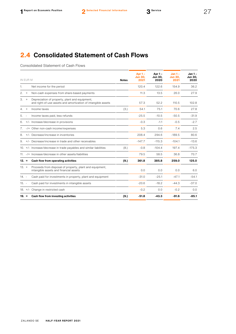# <span id="page-27-0"></span>**2.4 Consolidated Statement of Cash Flows**

Consolidated Statement of Cash Flows

|         | IN EUR M |                                                                                                                 | <b>Notes</b> | Apr $1 -$<br><b>Jun 30,</b><br>2021 | Apr $1 -$<br>Jun 30,<br>2020 | $Jan 1 -$<br><b>Jun 30,</b><br>2021 | Jan 1-<br>Jun 30,<br>2020 |
|---------|----------|-----------------------------------------------------------------------------------------------------------------|--------------|-------------------------------------|------------------------------|-------------------------------------|---------------------------|
| 1.      |          | Net income for the period                                                                                       |              | 120.4                               | 122.6                        | 154.9                               | 36.2                      |
| 2.      | $+$      | Non-cash expenses from share-based payments                                                                     |              | 11.3                                | 13.5                         | 26.0                                | 27.9                      |
| З.      | $^{+}$   | Depreciation of property, plant and equipment,<br>and right-of-use assets and amortization of intangible assets |              | 57.3                                | 52.2                         | 110.5                               | 102.8                     |
| 4.      | $+$      | Income taxes                                                                                                    | (3.)         | 54.1                                | 75.1                         | 70.6                                | 27.8                      |
| 5.      |          | Income taxes paid, less refunds                                                                                 |              | $-25.5$                             | $-10.5$                      | $-50.5$                             | $-31.9$                   |
| 6.      |          | +/- Increase/decrease in provisions                                                                             |              | $-0.3$                              | $-1.1$                       | $-0.5$                              | $-2.7$                    |
| 7.      |          | -/+ Other non-cash income/expenses                                                                              |              | 5.3                                 | 0.6                          | 7.4                                 | 2.5                       |
| 8.      |          | +/- Decrease/increase in inventories                                                                            |              | 208.4                               | 294.6                        | $-189.5$                            | 80.6                      |
| 9.      |          | +/- Decrease/increase in trade and other receivables                                                            |              | $-147.7$                            | $-115.3$                     | $-104.1$                            | $-13.6$                   |
|         |          | 10. +/- Increase/decrease in trade payables and similar liabilities                                             | (8.)         | $-0.8$                              | $-104.4$                     | 197.4                               | $-175.3$                  |
|         |          | 11. -/+ Increase/decrease in other assets/liabilities                                                           |              | 79.5                                | 58.5                         | 36.8                                | 70.7                      |
| $12. =$ |          | Cash flow from operating activities                                                                             | (9.)         | 361.8                               | 385.8                        | 259.0                               | 125.0                     |
| $13. +$ |          | Proceeds from disposal of property, plant and equipment,<br>intangible assets and financial assets              |              | 0.0                                 | 0.0                          | 0.0                                 | 6.0                       |
| $14. -$ |          | Cash paid for investments in property, plant and equipment                                                      |              | $-31.0$                             | $-25.1$                      | $-47.1$                             | $-54.1$                   |
| $15. -$ |          | Cash paid for investments in intangible assets                                                                  |              | $-20.6$                             | $-18.2$                      | $-44.3$                             | $-37.0$                   |
|         |          | 18. +/- Change in restricted cash                                                                               |              | $-0.2$                              | 0.0                          | $-0.2$                              | 0.0                       |
| 19. =   |          | Cash flow from investing activities                                                                             | (9.)         | $-51.8$                             | $-43.3$                      | $-91.6$                             | $-85.1$                   |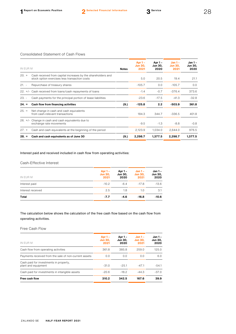## Consolidated Statement of Cash Flows

| IN EUR M |                                                                                                               | <b>Notes</b> | Apr $1 -$<br><b>Jun 30.</b><br>2021 | Apr $1 -$<br><b>Jun 30.</b><br>2020 | $Jan 1 -$<br><b>Jun 30.</b><br>2021 | Jan 1 -<br>Jun 30,<br>2020 |
|----------|---------------------------------------------------------------------------------------------------------------|--------------|-------------------------------------|-------------------------------------|-------------------------------------|----------------------------|
| $20. +$  | Cash received from capital increases by the shareholders and<br>stock option exercises less transaction costs |              | 5.0                                 | 20.5                                | 19.4                                | 21.1                       |
| $21. -$  | Repurchase of treasury shares                                                                                 |              | $-105.7$                            | 0.0                                 | $-105.7$                            | 0.0                        |
|          | 22. +/- Cash received from loans/cash repayments of loans                                                     |              | $-1.4$                              | $-0.7$                              | $-376.4$                            | 373.6                      |
| $23. -$  | Cash payments for the principal portion of lease liabilities                                                  |              | $-23.6$                             | $-17.5$                             | $-41.3$                             | $-32.8$                    |
| $24. =$  | Cash flow from financing activities                                                                           | (9.)         | $-125.8$                            | 2.2                                 | $-503.9$                            | 361.8                      |
| $25. =$  | Net change in cash and cash equivalents<br>from cash-relevant transactions                                    |              | 184.3                               | 344.7                               | $-336.5$                            | 401.8                      |
|          | 26. +/- Change in cash and cash equivalents due to<br>exchange rate movements                                 |              | $-9.5$                              | $-1.3$                              | $-8.8$                              | $-0.8$                     |
| $27 +$   | Cash and cash equivalents at the beginning of the period                                                      |              | 2,123.9                             | 1,034.0                             | 2,644.0                             | 976.5                      |
| $28. =$  | Cash and cash equivalents as of June 30                                                                       | (9.)         | 2,298.7                             | 1,377.5                             | 2,298.7                             | 1,377.5                    |

# Interest paid and received included in cash flow from operating activities:

## Cash-Effective Interest

| Apr $1 -$<br><b>Jun 30,</b><br>2021 | Apr 1 –<br>Jun 30,<br>2020 | $Jan 1 -$<br><b>Jun 30,</b><br>2021 | Jan 1 -<br><b>Jun 30,</b><br>2020 |
|-------------------------------------|----------------------------|-------------------------------------|-----------------------------------|
| $-10.2$                             | $-6.4$                     | $-17.8$                             | $-13.6$                           |
| 2.5                                 | 1.8                        | 1.0                                 | 3.1                               |
| $-7.7$                              | $-4.6$                     | $-16.8$                             | $-10.6$                           |
|                                     |                            |                                     |                                   |

The calculation below shows the calculation of the free cash flow based on the cash flow from operating activities.

Free Cash Flow

| IN EUR M                                                      | Apr $1 -$<br><b>Jun 30.</b><br>2021 | Apr 1 –<br><b>Jun 30.</b><br>2020 | $Jan 1 -$<br><b>Jun 30.</b><br>2021 | Jan 1 -<br>Jun 30,<br>2020 |
|---------------------------------------------------------------|-------------------------------------|-----------------------------------|-------------------------------------|----------------------------|
| Cash flow from operating activities                           | 361.8                               | 385.8                             | 259.0                               | 125.0                      |
| Payments received from the sale of non-current assets         | 0.0                                 | 0.0                               | 0.0                                 | 6.0                        |
| Cash paid for investments in property,<br>plant and equipment | $-31.0$                             | $-25.1$                           | $-47.1$                             | $-54.1$                    |
| Cash paid for investments in intangible assets                | $-20.6$                             | $-18.2$                           | $-44.3$                             | $-37.0$                    |
| <b>Free cash flow</b>                                         | 310.2                               | 342.5                             | 167.6                               | 39.9                       |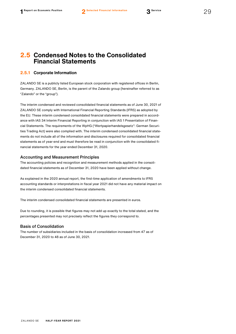# <span id="page-29-0"></span>**2.5 Condensed Notes to the Consolidated Financial Statements**

# **2.5.1 Corporate Information**

ZALANDO SE is a publicly listed European stock corporation with registered offices in Berlin, Germany. ZALANDO SE, Berlin, is the parent of the Zalando group (hereinafter referred to as "Zalando" or the "group").

The interim condensed and reviewed consolidated financial statements as of June 30, 2021 of ZALANDO SE comply with International Financial Reporting Standards (IFRS) as adopted by the EU. These interim condensed consolidated financial statements were prepared in accordance with IAS 34 Interim Financial Reporting in conjunction with IAS 1 Presentation of Financial Statements. The requirements of the WpHG ("Wertpapierhandelsgesetz": German Securities Trading Act) were also complied with. The interim condensed consolidated financial statements do not include all of the information and disclosures required for consolidated financial statements as of year-end and must therefore be read in conjunction with the consolidated financial statements for the year ended December 31, 2020.

## Accounting and Measurement Principles

The accounting policies and recognition and measurement methods applied in the consolidated financial statements as of December 31, 2020 have been applied without change.

As explained in the 2020 annual report, the first-time application of amendments to IFRS accounting standards or interpretations in fiscal year 2021 did not have any material impact on the interim condensed consolidated financial statements.

The interim condensed consolidated financial statements are presented in euros.

Due to rounding, it is possible that figures may not add up exactly to the total stated, and the percentages presented may not precisely reflect the figures they correspond to.

## Basis of Consolidation

The number of subsidiaries included in the basis of consolidation increased from 47 as of December 31, 2020 to 48 as of June 30, 2021.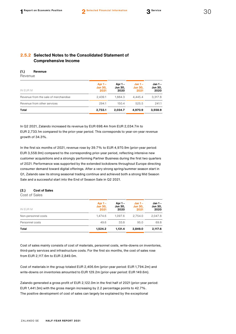# **2.5.2 Selected Notes to the Consolidated Statement of Comprehensive Income**

## **(1.) Revenue**

Revenue

| Apr $1 -$<br><b>Jun 30.</b><br>2021 | Apr 1 –<br>Jun 30,<br>2020 | $Jan 1 -$<br><b>Jun 30,</b><br>2021 | Jan 1 -<br><b>Jun 30,</b><br>2020 |
|-------------------------------------|----------------------------|-------------------------------------|-----------------------------------|
| 2.439.1                             | 1.884.3                    | 4.445.4                             | 3.317.8                           |
| 294.1                               | 150.4                      | 525.5                               | 241.1                             |
| 2,733.1                             | 2.034.7                    | 4.970.9                             | 3,558.9                           |
|                                     |                            |                                     |                                   |

In Q2 2021, Zalando increased its revenue by EUR 698.4m from EUR 2,034.7m to EUR 2,733.1m compared to the prior-year period. This corresponds to year-on-year revenue growth of 34.3%.

In the first six months of 2021, revenue rose by 39.7% to EUR 4,970.9m (prior-year period: EUR 3,558.9m) compared to the corresponding prior-year period, reflecting intensive new customer acquisitions and a strongly performing Partner Business during the first two quarters of 2021. Performance was supported by the extended lockdowns throughout Europe directing consumer demand toward digital offerings. After a very strong spring/summer season start in Q1, Zalando saw its strong seasonal trading continue and achieved both a strong Mid Season Sale and a successful start into the End of Season Sale in Q2 2021.

### **(2.) Cost of Sales**

Cost of Sales

|                     | Apr $1 -$              | Apr 1 –         | $Jan 1 -$              | Jan 1 –         |
|---------------------|------------------------|-----------------|------------------------|-----------------|
| IN EUR M            | <b>Jun 30,</b><br>2021 | Jun 30,<br>2020 | <b>Jun 30,</b><br>2021 | Jun 30,<br>2020 |
| Non-personnel costs | 1.474.6                | 1.097.6         | 2.754.0                | 2.047.8         |
| Personnel costs     | 49.6                   | 33.8            | 95.0                   | 69.8            |
| Total               | 1,524.2                | 1.131.4         | 2.849.0                | 2,117.6         |

Cost of sales mainly consists of cost of materials, personnel costs, write-downs on inventories, third-party services and infrastructure costs. For the first six months, the cost of sales rose from EUR 2,117.6m to EUR 2,849.0m.

Cost of materials in the group totaled EUR 2,406.6m (prior-year period: EUR 1,794.2m) and write-downs on inventories amounted to EUR 129.2m (prior-year period: EUR 149.6m).

Zalando generated a gross profit of EUR 2,122.0m in the first half of 2021 (prior-year period: EUR 1,441.3m) with the gross margin increasing by 2.2 percentage points to 42.7%. The positive development of cost of sales can largely be explained by the exceptional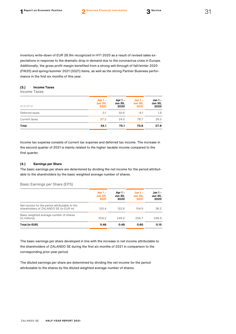inventory write-down of EUR 28.9m recognized in HY1 2020 as a result of revised sales expectations in response to the dramatic drop in demand due to the coronavirus crisis in Europe. Additionally, the gross profit margin benefited from a strong sell-through of fall/winter 2020 (FW20) and spring/summer 2021 (SS21) items, as well as the strong Partner Business performance in the first six months of this year.

#### **(3.) Income Taxes**

Income Taxes

| IN EUR M       | Apr $1 -$<br><b>Jun 30,</b><br>2021 | Apr 1 –<br>Jun 30,<br>2020 | $Jan 1 -$<br><b>Jun 30,</b><br>2021 | Jan 1 -<br><b>Jun 30,</b><br>2020 |
|----------------|-------------------------------------|----------------------------|-------------------------------------|-----------------------------------|
| Deferred taxes | $-3.1$                              | 50.6                       | $-8.1$                              | 1.8                               |
| Current taxes  | 57.2                                | 24.5                       | 78.7                                | 26.0                              |
| Total          | 54.1                                | 75.1                       | 70.6                                | 27.8                              |

Income tax expense consists of current tax expense and deferred tax income. The increase in the second quarter of 2021 is mainly related to the higher taxable income compared to the first quarter.

#### **(4.) Earnings per Share**

The basic earnings per share are determined by dividing the net income for the period attributable to the shareholders by the basic weighted average number of shares.

Basic Earnings per Share (EPS)

|                                                                                        | Apr $1 -$<br><b>Jun 30.</b> | $Jan 1 -$<br>Apr 1 –<br><b>Jun 30.</b><br><b>Jun 30.</b> |       | Jan 1 -<br><b>Jun 30,</b> |  |
|----------------------------------------------------------------------------------------|-----------------------------|----------------------------------------------------------|-------|---------------------------|--|
|                                                                                        | 2021                        | 2020                                                     | 2021  | 2020                      |  |
| Net income for the period attributable to the<br>shareholders of ZALANDO SE (in EUR m) | 120.4                       | 122.6                                                    | 154.9 | 36.2                      |  |
| Basic weighted average number of shares<br>(in millions)                               | 259.2                       | 249.2                                                    | 256.7 | 248.9                     |  |
| Total (in EUR)                                                                         | 0.46                        | 0.49                                                     | 0.60  | 0.15                      |  |

The basic earnings per share developed in line with the increase in net income attributable to the shareholders of ZALANDO SE during the first six months of 2021 in comparison to the corresponding prior-year period.

The diluted earnings per share are determined by dividing the net income for the period attributable to the shares by the diluted weighted average number of shares.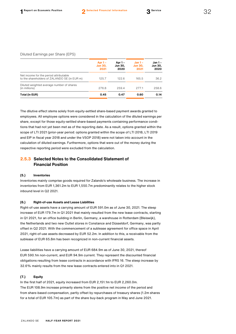#### Diluted Earnings per Share (EPS)

|                                                                                        | Apr $1 -$<br><b>Jun 30,</b><br>2021 | Apr 1 –<br><b>Jun 30,</b><br>2020 | $Jan 1 -$<br><b>Jun 30,</b><br>2021 | Jan 1 –<br>Jun 30,<br>2020 |
|----------------------------------------------------------------------------------------|-------------------------------------|-----------------------------------|-------------------------------------|----------------------------|
| Net income for the period attributable<br>to the shareholders of ZALANDO SE (in EUR m) | 125.7                               | 122.6                             | 165.5                               | 36.2                       |
| Diluted weighted average number of shares<br>(in millions)                             | 276.8                               | 259.4                             | 277.1                               | 258.6                      |
| Total (in EUR)                                                                         | 0.45                                | 0.47                              | 0.60                                | 0.14                       |

The dilutive effect stems solely from equity-settled share-based payment awards granted to employees. All employee options were considered in the calculation of the diluted earnings per share, except for those equity-settled share-based payments containing performance conditions that had not yet been met as of the reporting date. As a result, options granted within the scope of LTI 2021 (prior-year period: options granted within the scope of LTI 2018, LTI 2019 and EIP in fiscal year 2018 and under the VSOP 2018) were not taken into account in the calculation of diluted earnings. Furthermore, options that were out of the money during the respective reporting period were excluded from the calculation.

# **2.5.3 Selected Notes to the Consolidated Statement of Financial Position**

#### **(5.) Inventories**

Inventories mainly comprise goods required for Zalando's wholesale business. The increase in inventories from EUR 1,361.2m to EUR 1,550.7m predominantly relates to the higher stock inbound level in Q2 2021.

# **(6.) Right-of-use Assets and Lease Liabilities**

Right-of-use assets have a carrying amount of EUR 591.0m as of June 30, 2021. The steep increase of EUR 179.7m in Q1 2021 that mainly resulted from the new lease contracts, starting in Q1 2021, for an office building in Berlin, Germany, a warehouse in Rotterdam (Bleiswijk), the Netherlands and two new Outlet stores in Constance and Düsseldorf, Germany, was partly offset in Q2 2021. With the commencement of a sublease agreement for office space in April 2021, right-of-use assets decreased by EUR 52.2m. In addition to this, a receivable from the sublease of EUR 65.8m has been recognized in non-current financial assets.

Lease liabilities have a carrying amount of EUR 684.9m as of June 30, 2021, thereof EUR 590.1m non-current, and EUR 94.9m current. They represent the discounted financial obligations resulting from lease contracts in accordance with IFRS 16. The steep increase by 32.6% mainly results from the new lease contracts entered into in Q1 2021.

#### **(7.) Equity**

In the first half of 2021, equity increased from EUR 2,151.1m to EUR 2,260.0m. The EUR 108.9m increase primarily stems from the positive net income of the period and from share-based compensation, partly offset by repurchases of treasury shares (1.2m shares for a total of EUR 105.7m) as part of the share buy-back program in May and June 2021.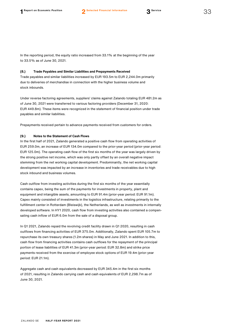In the reporting period, the equity ratio increased from 33.1% at the beginning of the year to 33.5% as of June 30, 2021.

#### **(8.) Trade Payables and Similar Liabilities and Prepayments Received**

Trade payables and similar liabilities increased by EUR 193.5m to EUR 2,244.0m primarily due to deliveries of merchandise in connection with the higher business volume and stock inbounds.

Under reverse factoring agreements, suppliers' claims against Zalando totaling EUR 481.2m as of June 30, 2021 were transferred to various factoring providers (December 31, 2020: EUR 449.8m). These items were recognized in the statement of financial position under trade payables and similar liabilities.

Prepayments received pertain to advance payments received from customers for orders.

#### **(9.) Notes to the Statement of Cash Flows**

In the first half of 2021, Zalando generated a positive cash flow from operating activities of EUR 259.0m, an increase of EUR 134.0m compared to the prior-year period (prior-year period: EUR 125.0m). The operating cash flow of the first six months of the year was largely driven by the strong positive net income, which was only partly offset by an overall negative impact stemming from the net working capital development. Predominantly, the net working capital development was impacted by an increase in inventories and trade receivables due to high stock inbound and business volumes.

Cash outflow from investing activities during the first six months of the year essentially contains capex, being the sum of the payments for investments in property, plant and equipment and intangible assets, amounting to EUR 91.4m (prior-year period: EUR 91.1m). Capex mainly consisted of investments in the logistics infrastructure, relating primarily to the fulfillment center in Rotterdam (Bleiswijk), the Netherlands, as well as investments in internally developed software. In HY1 2020, cash flow from investing activities also contained a compensating cash inflow of EUR 6.0m from the sale of a disposal group.

In Q1 2021, Zalando repaid the revolving credit facility drawn in Q1 2020, resulting in cash outflows from financing activities of EUR 375.0m. Additionally, Zalando spent EUR 105.7m to repurchase its own treasury shares (1.2m shares) in May and June 2021. In addition to this, cash flow from financing activities contains cash outflows for the repayment of the principal portion of lease liabilities of EUR 41.3m (prior-year period: EUR 32.8m) and strike price payments received from the exercise of employee stock options of EUR 19.4m (prior-year period: EUR 21.1m).

Aggregate cash and cash equivalents decreased by EUR 345.4m in the first six months of 2021, resulting in Zalando carrying cash and cash equivalents of EUR 2,298.7m as of June 30, 2021.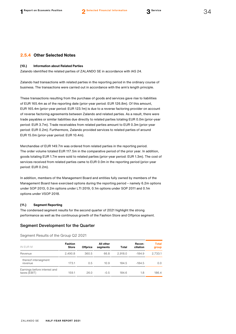## **2.5.4 Other Selected Notes**

#### **(10.) Information about Related Parties**

Zalando identified the related parties of ZALANDO SE in accordance with IAS 24.

Zalando had transactions with related parties in the reporting period in the ordinary course of business. The transactions were carried out in accordance with the arm's length principle.

These transactions resulting from the purchase of goods and services gave rise to liabilities of EUR 165.4m as of the reporting date (prior-year period: EUR 126.8m). Of this amount, EUR 165.4m (prior-year period: EUR 123.1m) is due to a reverse factoring provider on account of reverse factoring agreements between Zalando and related parties. As a result, there were trade payables or similar liabilities due directly to related parties totaling EUR 0.0m (prior-year period: EUR 3.7m). Trade receivables from related parties amount to EUR 0.3m (prior-year period: EUR 0.2m). Furthermore, Zalando provided services to related parties of around EUR 15.0m (prior-year period: EUR 10.4m).

Merchandise of EUR 149.7m was ordered from related parties in the reporting period. The order volume totaled EUR 117.5m in the comparative period of the prior year. In addition, goods totaling EUR 1.7m were sold to related parties (prior-year period: EUR 1.3m). The cost of services received from related parties came to EUR 0.0m in the reporting period (prior-year period: EUR 0.2m).

In addition, members of the Management Board and entities fully owned by members of the Management Board have exercised options during the reporting period – namely 6.2m options under SOP 2013, 0.2m options under LTI 2019, 0.1m options under SOP 2011 and 0.1m options under VSOP 2018.

#### **(11.) Segment Reporting**

The condensed segment results for the second quarter of 2021 highlight the strong performance as well as the continuous growth of the Fashion Store and Offprice segment.

#### Segment Development for the Quarter

| IN EUR M                                     | <b>Fashion</b><br><b>Store</b> | <b>Offprice</b> | All other<br>segments | <b>Total</b> | Recon-<br>ciliation | <b>Total</b><br>group |
|----------------------------------------------|--------------------------------|-----------------|-----------------------|--------------|---------------------|-----------------------|
| Revenue                                      | 2.490.8                        | 360.5           | 66.8                  | 2.918.0      | $-184.9$            | 2,733.1               |
| thereof intersegment<br>revenue              | 173.1                          | 0.5             | 10.9                  | 184.5        | $-184.5$            | 0.0                   |
| Earnings before interest and<br>taxes (EBIT) | 159.1                          | 26.0            | $-0.5$                | 184.6        | 1.8                 | 186.4                 |

Segment Results of the Group Q2 2021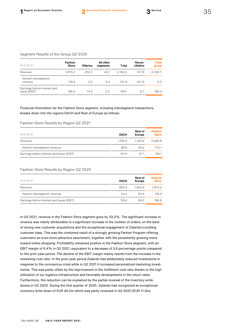#### Segment Results of the Group Q2 2020

| IN EUR M                                     | <b>Fashion</b><br><b>Store</b> | Offprice | All other<br>segments | Total   | Recon-<br>ciliation | <b>Total</b><br>group |
|----------------------------------------------|--------------------------------|----------|-----------------------|---------|---------------------|-----------------------|
| Revenue                                      | 1,870.2                        | 252.2    | 40.1                  | 2.162.5 | $-127.8$            | 2,034.7               |
| thereof intersegment<br>revenue              | 118.4                          | 0.0      | 9.4                   | 127.8   | $-127.8$            | 0.0                   |
| Earnings before interest and<br>taxes (EBIT) | 186.9                          | 14.4     | $-2.2$                | 199.1   | $-0.7$              | 198.4                 |

# Financial information for the Fashion Store segment, including intersegment transactions, breaks down into the regions DACH and Rest of Europe as follows:

#### Fashion Store Results by Region Q2 2021

| IN EUR M                                  | <b>DACH</b> | <b>Rest of</b><br><b>Europe</b> | <b>Fashion</b><br><b>Store</b> |
|-------------------------------------------|-------------|---------------------------------|--------------------------------|
| Revenue                                   | 1.159.3     | 1.331.4                         | 2.490.8                        |
| thereof intersegment revenue              | 88.8        | 84.2                            | 173.1                          |
| Earnings before interest and taxes (EBIT) | 121.9       | 37.1                            | 159.1                          |

#### Fashion Store Results by Region Q2 2020

| IN EUR M                                  | <b>DACH</b> | <b>Rest of</b><br><b>Europe</b> | <b>Fashion</b><br><b>Store</b> |
|-------------------------------------------|-------------|---------------------------------|--------------------------------|
| Revenue                                   | 863.4       | 1.006.8                         | 1.870.2                        |
| thereof intersegment revenue              | 54.0        | 64.4                            | 118.4                          |
| Earnings before interest and taxes (EBIT) | 118.8       | 68.2                            | 186.9                          |

In Q2 2021, revenue in the Fashion Store segment grew by 33.2%. The significant increase in revenue was mainly attributable to a significant increase in the number of orders, on the back of strong new customer acquisitions and the exceptional engagement of Zalando's existing customer base. This was the combined result of a strongly growing Partner Program offering customers an even more attractive assortment, together with the persistently growing trend toward online shopping. Profitability remained positive in the Fashion Store segment, with an EBIT margin of 6.4% in Q2 2021, equivalent to a decrease of 3.6 percentage points compared to the prior-year period. The decline of the EBIT margin mainly results from the increase in the marketing cost ratio. In the prior-year period Zalando had deliberately reduced investments in response to the coronavirus crisis while in Q2 2021 it increased personalized marketing investments. This was partly offset by the improvement in the fulfillment cost ratio thanks to the high utilization of our logistics infrastructure and favorable developments in the return rates. Furthermore, the reduction can be explained by the partial reversal of the inventory writedowns in Q2 2020. During the first quarter of 2020, Zalando had recognized an exceptional inventory write-down of EUR 40.2m which was partly reversed in Q2 2020 (EUR 11.3m).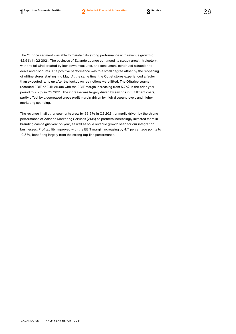The Offprice segment was able to maintain its strong performance with revenue growth of 42.9% in Q2 2021. The business of Zalando Lounge continued its steady growth trajectory, with the tailwind created by lockdown measures, and consumers' continued attraction to deals and discounts. The positive performance was to a small degree offset by the reopening of offline stores starting mid May. At the same time, the Outlet stores experienced a faster than expected ramp up after the lockdown restrictions were lifted. The Offprice segment recorded EBIT of EUR 26.0m with the EBIT margin increasing from 5.7% in the prior-year period to 7.2% in Q2 2021. The increase was largely driven by savings in fulfillment costs, partly offset by a decreased gross profit margin driven by high discount levels and higher marketing spending.

The revenue in all other segments grew by 66.5% in Q2 2021, primarily driven by the strong performance of Zalando Marketing Services (ZMS) as partners increasingly invested more in branding campaigns year on year, as well as solid revenue growth seen for our integration businesses. Profitability improved with the EBIT margin increasing by 4.7 percentage points to -0.8%, benefiting largely from the strong top-line performance.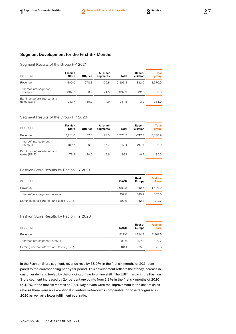# Segment Development for the First Six Months

#### Segment Results of the Group HY 2021

| IN EUR M                                     | <b>Fashion</b><br><b>Store</b> | <b>Offprice</b> | All other<br>segments | Total   | Recon-<br>ciliation | <b>Total</b><br>group |
|----------------------------------------------|--------------------------------|-----------------|-----------------------|---------|---------------------|-----------------------|
| Revenue                                      | 4.500.0                        | 678.3           | 125.5                 | 5.303.8 | $-332.9$            | 4.970.9               |
| thereof intersegment<br>revenue              | 307.7                          | 0.7             | 24.5                  | 332.9   | $-332.9$            | 0.0                   |
| Earnings before interest and<br>taxes (EBIT) | 212.7                          | 50.0            | $-1.0$                | 261.8   | 3.2                 | 264.9                 |

## Segment Results of the Group HY 2020

| IN EUR M                                     | <b>Fashion</b><br><b>Store</b> | Offprice | All other<br>segments | Total   | Recon-<br>ciliation | <b>Total</b><br>group |
|----------------------------------------------|--------------------------------|----------|-----------------------|---------|---------------------|-----------------------|
| Revenue                                      | 3,261.8                        | 437.0    | 77.5                  | 3.776.3 | $-217.4$            | 3,558.9               |
| thereof intersegment<br>revenue              | 199.7                          | 0.0      | 17.7                  | 217.4   | $-2174$             | 0.0                   |
| Earnings before interest and<br>taxes (EBIT) | 75.3                           | 20.6     | $-9.8$                | 86.1    | $-0.7$              | 85.3                  |

#### Fashion Store Results by Region HY 2021

| IN EUR M                                  | <b>DACH</b> | <b>Rest of</b><br>Europe | <b>Fashion</b><br><b>Store</b> |
|-------------------------------------------|-------------|--------------------------|--------------------------------|
| Revenue                                   | 2.080.3     | 2.419.7                  | 4.500.0                        |
| thereof intersegment revenue              | 157.8       | 149.9                    | 307.6                          |
| Earnings before interest and taxes (EBIT) | 199.9       | 12.8                     | 212.7                          |

## Fashion Store Results by Region HY 2020

| IN EUR M                                  | <b>DACH</b> | <b>Rest of</b><br><b>Europe</b> | <b>Fashion</b><br><b>Store</b> |
|-------------------------------------------|-------------|---------------------------------|--------------------------------|
| Revenue                                   | 1.527.0     | 1.734.8                         | 3.261.8                        |
| thereof intersegment revenue              | 93.6        | 106.1                           | 199.7                          |
| Earnings before interest and taxes (EBIT) | 101.1       | $-25.8$                         | 75.3                           |
|                                           |             |                                 |                                |

In the Fashion Store segment, revenue rose by 38.0% in the first six months of 2021 compared to the corresponding prior-year period. This development reflects the steady increase in customer demand fueled by the ongoing offline to online shift. The EBIT margin in the Fashion Store segment increased by 2.4 percentage points from 2.3% in the first six months of 2020 to 4.7% in the first six months of 2021. Key drivers were the improvement in the cost of sales ratio as there were no exceptional inventory write-downs comparable to those recognized in 2020 as well as a lower fulfillment cost ratio.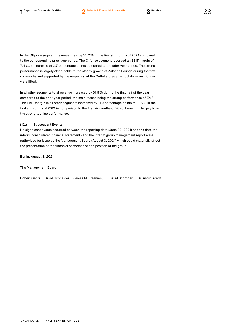In the Offprice segment, revenue grew by 55.2% in the first six months of 2021 compared to the corresponding prior-year period. The Offprice segment recorded an EBIT margin of 7.4%, an increase of 2.7 percentage points compared to the prior-year period. The strong performance is largely attributable to the steady growth of Zalando Lounge during the first six months and supported by the reopening of the Outlet stores after lockdown restrictions were lifted.

In all other segments total revenue increased by 61.9% during the first half of the year compared to the prior-year period, the main reason being the strong performance of ZMS. The EBIT margin in all other segments increased by 11.9 percentage points to -0.8% in the first six months of 2021 in comparison to the first six months of 2020, benefiting largely from the strong top-line performance.

#### **(12.) Subsequent Events**

No significant events occurred between the reporting date (June 30, 2021) and the date the interim consolidated financial statements and the interim group management report were authorized for issue by the Management Board (August 3, 2021) which could materially affect the presentation of the financial performance and position of the group.

Berlin, August 3, 2021

The Management Board

|  |  | Robert Gentz - David Schneider - James M. Freeman. II - David Schröder - Dr. Astrid Arndt |  |  |
|--|--|-------------------------------------------------------------------------------------------|--|--|
|--|--|-------------------------------------------------------------------------------------------|--|--|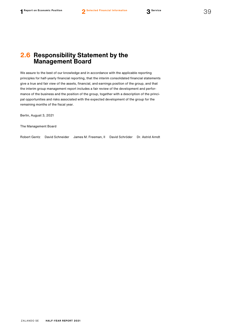# <span id="page-39-0"></span>**2.6 Responsibility Statement by the Management Board**

We assure to the best of our knowledge and in accordance with the applicable reporting principles for half-yearly financial reporting, that the interim consolidated financial statements give a true and fair view of the assets, financial, and earnings position of the group, and that the interim group management report includes a fair review of the development and performance of the business and the position of the group, together with a description of the principal opportunities and risks associated with the expected development of the group for the remaining months of the fiscal year.

Berlin, August 3, 2021

The Management Board

Robert Gentz David Schneider James M. Freeman, II David Schröder Dr. Astrid Arndt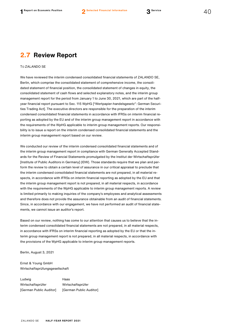# <span id="page-40-0"></span>**2.7 Review Report**

#### TO ZALANDO SE

We have reviewed the interim condensed consolidated financial statements of ZALANDO SE, Berlin, which comprise the consolidated statement of comprehensive income, the consolidated statement of financial position, the consolidated statement of changes in equity, the consolidated statement of cash flows and selected explanatory notes, and the interim group management report for the period from January 1 to June 30, 2021, which are part of the halfyear financial report pursuant to Sec. 115 WpHG ["Wertpapier-handelsgesetz": German Securities Trading Act]. The executive directors are responsible for the preparation of the interim condensed consolidated financial statements in accordance with IFRSs on interim financial reporting as adopted by the EU and of the interim group management report in accordance with the requirements of the WpHG applicable to interim group management reports. Our responsibility is to issue a report on the interim condensed consolidated financial statements and the interim group management report based on our review.

We conducted our review of the interim condensed consolidated financial statements and of the interim group management report in compliance with German Generally Accepted Standards for the Review of Financial Statements promulgated by the Institut der Wirtschaftsprüfer [Institute of Public Auditors in Germany] (IDW). Those standards require that we plan and perform the review to obtain a certain level of assurance in our critical appraisal to preclude that the interim condensed consolidated financial statements are not prepared, in all material respects, in accordance with IFRSs on interim financial reporting as adopted by the EU and that the interim group management report is not prepared, in all material respects, in accordance with the requirements of the WpHG applicable to interim group management reports. A review is limited primarily to making inquiries of the company's employees and analytical assessments and therefore does not provide the assurance obtainable from an audit of financial statements. Since, in accordance with our engagement, we have not performed an audit of financial statements, we cannot issue an auditor's report.

Based on our review, nothing has come to our attention that causes us to believe that the interim condensed consolidated financial statements are not prepared, in all material respects, in accordance with IFRSs on interim financial reporting as adopted by the EU or that the interim group management report is not prepared, in all material respects, in accordance with the provisions of the WpHG applicable to interim group management reports.

Berlin, August 3, 2021

Ernst & Young GmbH Wirtschaftsprüfungsgesellschaft

Ludwig **Haas** Wirtschaftsprüfer Wirtschaftsprüfer [German Public Auditor] [German Public Auditor]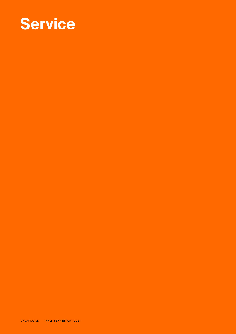

ZALANDO SE **HALF-YEAR REPORT 2021**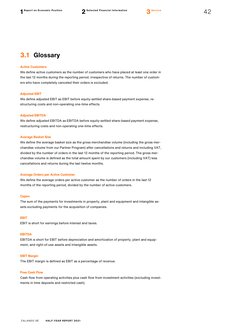

#### <span id="page-42-0"></span>**Active Customers**

We define active customers as the number of customers who have placed at least one order in the last 12 months during the reporting period, irrespective of returns. The number of customers who have completely canceled their orders is excluded.

#### **Adjusted EBIT**

We define adjusted EBIT as EBIT before equity-settled share-based payment expense, restructuring costs and non-operating one-time effects.

#### **Adjusted EBITDA**

We define adjusted EBITDA as EBITDA before equity-settled share-based payment expense, restructuring costs and non-operating one-time effects.

#### **Average Basket Size**

We define the average basket size as the gross merchandise volume (including the gross merchandise volume from our Partner Program) after cancellations and returns and including VAT, divided by the number of orders in the last 12 months of the reporting period. The gross merchandise volume is defined as the total amount spent by our customers (including VAT) less cancellations and returns during the last twelve months.

#### **Average Orders per Active Customer**

We define the average orders per active customer as the number of orders in the last 12 months of the reporting period, divided by the number of active customers.

#### **Capex**

The sum of the payments for investments in property, plant and equipment and intangible assets excluding payments for the acquisition of companies.

#### **EBIT**

EBIT is short for earnings before interest and taxes.

#### **EBITDA**

EBITDA is short for EBIT before depreciation and amortization of property, plant and equipment, and right-of-use assets and intangible assets.

#### **EBIT Margin**

The EBIT margin is defined as EBIT as a percentage of revenue.

## **Free Cash Flow**

Cash flow from operating activities plus cash flow from investment activities (excluding investments in time deposits and restricted cash).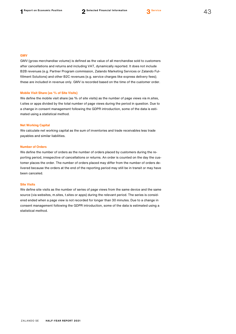

# **GMV**

GMV (gross merchandise volume) is defined as the value of all merchandise sold to customers after cancellations and returns and including VAT, dynamically reported. It does not include B2B revenues (e.g. Partner Program commission, Zalando Marketing Services or Zalando Fulfillment Solutions) and other B2C revenues (e.g. service charges like express delivery fees); these are included in revenue only. GMV is recorded based on the time of the customer order.

#### **Mobile Visit Share (as % of Site Visits)**

We define the mobile visit share (as % of site visits) as the number of page views via m.sites, t.sites or apps divided by the total number of page views during the period in question. Due to a change in consent management following the GDPR introduction, some of the data is estimated using a statistical method.

#### **Net Working Capital**

We calculate net working capital as the sum of inventories and trade receivables less trade payables and similar liabilities.

#### **Number of Orders**

We define the number of orders as the number of orders placed by customers during the reporting period, irrespective of cancellations or returns. An order is counted on the day the customer places the order. The number of orders placed may differ from the number of orders delivered because the orders at the end of the reporting period may still be in transit or may have been canceled.

## **Site Visits**

We define site visits as the number of series of page views from the same device and the same source (via websites, m.sites, t.sites or apps) during the relevant period. The series is considered ended when a page view is not recorded for longer than 30 minutes. Due to a change in consent management following the GDPR introduction, some of the data is estimated using a statistical method.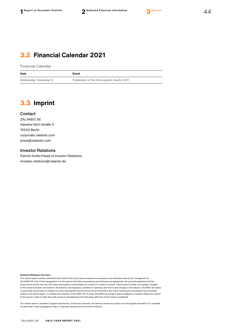# <span id="page-44-0"></span>**3.2 Financial Calendar 2021**

Financial Calendar

| Date                  | Event                                         |
|-----------------------|-----------------------------------------------|
| Wednesday, November 3 | Publication of the third quarter results 2021 |

# <span id="page-44-1"></span>**3.3 Imprint**

## **Contact**

ZALANDO SE Valeska-Gert-Straße 5 10243 Berlin [corporate.zalando.com](https://corporate.zalando.com/en) [press@zalando.com](mailto:press@zalando.com)

# Investor Relations

Patrick Kofler/Head of Investor Relations [investor.relations@zalando.de](mailto:investor.relations@zalando.de)

#### **Statement Relating to the Future**

This interim report contains statements that relate to the future and are based on assumptions and estimates made by the management of ZALANDO SE. Even if the management is of the opinion that these assumptions and estimates are appropriate, the actual development and the actual future results may vary from these assumptions and estimates as a result of a variety of factors. These factors include, for example, changes to the overall economic environment, the statutory and regulatory conditions in Germany and the EU and changes in the industry. ZALANDO SE makes no guarantee and accepts no liability for future development and the actual results achieved in the future matching the assumptions and estimates stated in this interim report. It is neither the intention of ZALANDO SE nor does ZALANDO SE accept a special obligation to update statements related to the future in order to align them with events or developments that take place after this interim report is published.

The interim report is available in English and German. If there are variances, the German version has priority over the English translation. It is available for download in both languages a[t https://corporate.zalando.com/en/investor-relations.](https://corporate.zalando.com/en/investor-relations)